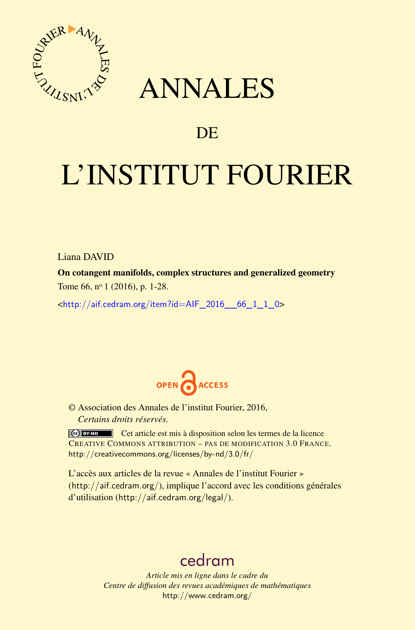

## ANNALES

### **DE**

# L'INSTITUT FOURIER

Liana DAVID

On cotangent manifolds, complex structures and generalized geometry Tome 66, nº 1 (2016), p. 1-28.

 $\text{chttp:}/\text{/aif.cedram.org/item?id=AlF}$  2016 66\_1\_1\_0>



© Association des Annales de l'institut Fourier, 2016, *Certains droits réservés.*

Cet article est mis à disposition selon les termes de la licence CREATIVE COMMONS ATTRIBUTION – PAS DE MODIFICATION 3.0 FRANCE. <http://creativecommons.org/licenses/by-nd/3.0/fr/>

L'accès aux articles de la revue « Annales de l'institut Fourier » (<http://aif.cedram.org/>), implique l'accord avec les conditions générales d'utilisation (<http://aif.cedram.org/legal/>).

## [cedram](http://www.cedram.org/)

*Article mis en ligne dans le cadre du Centre de diffusion des revues académiques de mathématiques* <http://www.cedram.org/>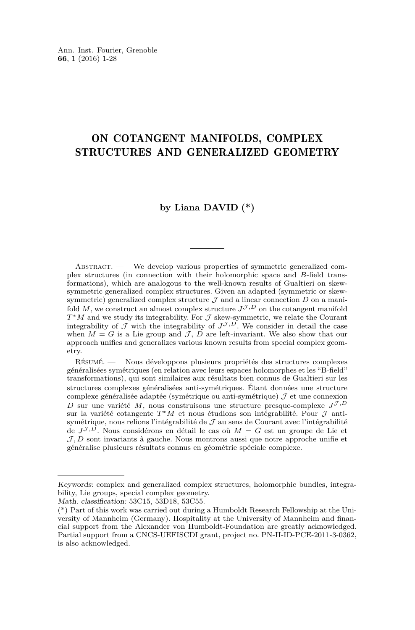#### ON COTANGENT MANIFOLDS, COMPLEX STRUCTURES AND GENERALIZED GEOMETRY

#### **by Liana DAVID (\*)**

Abstract. — We develop various properties of symmetric generalized complex structures (in connection with their holomorphic space and *B*-field transformations), which are analogous to the well-known results of Gualtieri on skewsymmetric generalized complex structures. Given an adapted (symmetric or skewsymmetric) generalized complex structure  $\mathcal J$  and a linear connection  $D$  on a manifold  $M$ , we construct an almost complex structure  $J^{\mathcal{J},D}$  on the cotangent manifold *T*<sup>\*</sup>*M* and we study its integrability. For *J* skew-symmetric, we relate the Courant integrability of  $\mathcal J$  with the integrability of  $J^{\mathcal J,D}$ . We consider in detail the case when  $M = G$  is a Lie group and  $J, D$  are left-invariant. We also show that our approach unifies and generalizes various known results from special complex geometry.

Résumé. — Nous développons plusieurs propriétés des structures complexes généralisées symétriques (en relation avec leurs espaces holomorphes et les "B-field" transformations), qui sont similaires aux résultats bien connus de Gualtieri sur les structures complexes généralisées anti-symétriques. Étant données une structure complexe généralisée adaptée (symétrique ou anti-symétrique)  $J$  et une connexion *D* sur une variété *M*, nous construisons une structure presque-complexe  $J^{\mathcal{J},D}$ sur la variété cotangente *T* <sup>∗</sup>*M* et nous étudions son intégrabilité. Pour J antisymétrique, nous relions l'intégrabilité de  $\mathcal J$  au sens de Courant avec l'intégrabilité de  $J^{\mathcal{J},D}$ . Nous considérons en détail le cas où  $M = G$  est un groupe de Lie et  $J, D$  sont invariants à gauche. Nous montrons aussi que notre approche unifie et généralise plusieurs résultats connus en géométrie spéciale complexe.

Keywords: complex and generalized complex structures, holomorphic bundles, integrability, Lie groups, special complex geometry.

Math. classification: 53C15, 53D18, 53C55.

<sup>(\*)</sup> Part of this work was carried out during a Humboldt Research Fellowship at the University of Mannheim (Germany). Hospitality at the University of Mannheim and financial support from the Alexander von Humboldt-Foundation are greatly acknowledged. Partial support from a CNCS-UEFISCDI grant, project no. PN-II-ID-PCE-2011-3-0362, is also acknowledged.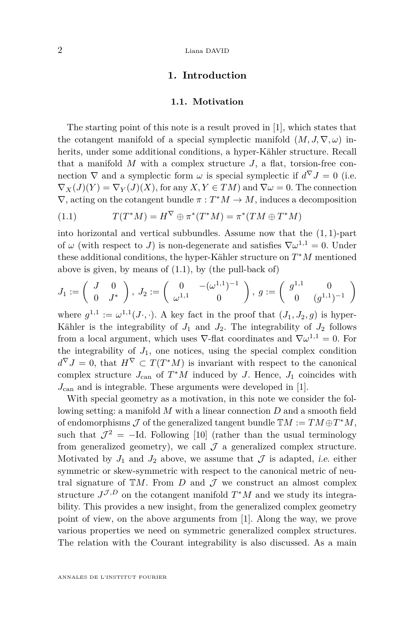#### 2 Liana DAVID

#### **1. Introduction**

#### **1.1. Motivation**

The starting point of this note is a result proved in [\[1\]](#page-27-0), which states that the cotangent manifold of a special symplectic manifold  $(M, J, \nabla, \omega)$  inherits, under some additional conditions, a hyper-Kähler structure. Recall that a manifold  $M$  with a complex structure  $J$ , a flat, torsion-free connection  $\nabla$  and a symplectic form  $\omega$  is special symplectic if  $d^{\nabla} J = 0$  (i.e.  $\nabla_X(J)(Y) = \nabla_Y(J)(X)$ , for any  $X, Y \in TM$  and  $\nabla \omega = 0$ . The connection  $\nabla$ , acting on the cotangent bundle  $\pi : T^*M \to M$ , induces a decomposition

<span id="page-2-0"></span>
$$
(1.1) \tT(T^*M) = H^{\nabla} \oplus \pi^*(T^*M) = \pi^*(TM \oplus T^*M)
$$

into horizontal and vertical subbundles. Assume now that the (1*,* 1)-part of  $\omega$  (with respect to *J*) is non-degenerate and satisfies  $\nabla \omega^{1,1} = 0$ . Under these additional conditions, the hyper-Kähler structure on *T* <sup>∗</sup>*M* mentioned above is given, by means of  $(1.1)$ , by  $($ the pull-back of $)$ 

$$
J_1:=\left(\begin{array}{cc}J & 0 \\ 0 & J^*\end{array}\right),\ J_2:=\left(\begin{array}{cc}0 & -(\omega^{1,1})^{-1} \\ \omega^{1,1} & 0\end{array}\right),\ g:=\left(\begin{array}{cc}g^{1,1} & 0 \\ 0 & (g^{1,1})^{-1}\end{array}\right)
$$

where  $g^{1,1} := \omega^{1,1}(J \cdot, \cdot)$ . A key fact in the proof that  $(J_1, J_2, g)$  is hyper-Kähler is the integrability of  $J_1$  and  $J_2$ . The integrability of  $J_2$  follows from a local argument, which uses  $\nabla$ -flat coordinates and  $\nabla \omega^{1,1} = 0$ . For the integrability of  $J_1$ , one notices, using the special complex condition  $d^{\nabla} J = 0$ , that  $H^{\nabla} \subset T(T^*M)$  is invariant with respect to the canonical complex structure  $J_{\text{can}}$  of  $T^*M$  induced by *J*. Hence,  $J_1$  coincides with *J*can and is integrable. These arguments were developed in [\[1\]](#page-27-0).

With special geometry as a motivation, in this note we consider the following setting: a manifold *M* with a linear connection *D* and a smooth field of endomorphisms  $\mathcal J$  of the generalized tangent bundle  $\mathbb{T}M := TM \oplus T^*M$ , such that  $\mathcal{J}^2 = -Id$ . Following [\[10\]](#page-28-0) (rather than the usual terminology from generalized geometry), we call  $\mathcal J$  a generalized complex structure. Motivated by  $J_1$  and  $J_2$  above, we assume that  $\mathcal J$  is adapted, *i.e.* either symmetric or skew-symmetric with respect to the canonical metric of neutral signature of  $\mathbb{T}M$ . From *D* and  $\mathcal J$  we construct an almost complex structure  $J^{\mathcal{J},D}$  on the cotangent manifold  $T^*M$  and we study its integrability. This provides a new insight, from the generalized complex geometry point of view, on the above arguments from [\[1\]](#page-27-0). Along the way, we prove various properties we need on symmetric generalized complex structures. The relation with the Courant integrability is also discussed. As a main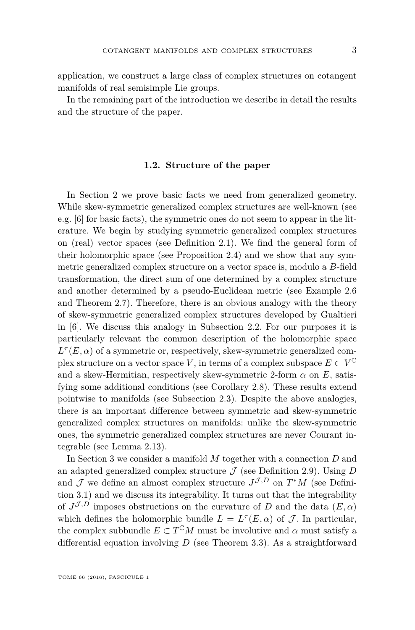application, we construct a large class of complex structures on cotangent manifolds of real semisimple Lie groups.

In the remaining part of the introduction we describe in detail the results and the structure of the paper.

#### **1.2. Structure of the paper**

In Section [2](#page-5-0) we prove basic facts we need from generalized geometry. While skew-symmetric generalized complex structures are well-known (see e.g. [\[6\]](#page-28-1) for basic facts), the symmetric ones do not seem to appear in the literature. We begin by studying symmetric generalized complex structures on (real) vector spaces (see Definition [2.1\)](#page-5-1). We find the general form of their holomorphic space (see Proposition [2.4\)](#page-6-0) and we show that any symmetric generalized complex structure on a vector space is, modulo a *B*-field transformation, the direct sum of one determined by a complex structure and another determined by a pseudo-Euclidean metric (see Example [2.6](#page-7-0) and Theorem [2.7\)](#page-8-0). Therefore, there is an obvious analogy with the theory of skew-symmetric generalized complex structures developed by Gualtieri in [\[6\]](#page-28-1). We discuss this analogy in Subsection [2.2.](#page-9-0) For our purposes it is particularly relevant the common description of the holomorphic space  $L^{\tau}(E,\alpha)$  of a symmetric or, respectively, skew-symmetric generalized complex structure on a vector space *V*, in terms of a complex subspace  $E \subset V^{\mathbb{C}}$ and a skew-Hermitian, respectively skew-symmetric 2-form  $\alpha$  on  $E$ , satisfying some additional conditions (see Corollary [2.8\)](#page-9-1). These results extend pointwise to manifolds (see Subsection [2.3\)](#page-10-0). Despite the above analogies, there is an important difference between symmetric and skew-symmetric generalized complex structures on manifolds: unlike the skew-symmetric ones, the symmetric generalized complex structures are never Courant integrable (see Lemma [2.13\)](#page-11-0).

In Section [3](#page-11-1) we consider a manifold *M* together with a connection *D* and an adapted generalized complex structure  $\mathcal J$  (see Definition [2.9\)](#page-10-1). Using  $D$ and  $\mathcal J$  we define an almost complex structure  $J^{\mathcal J,D}$  on  $T^*M$  (see Definition [3.1\)](#page-11-2) and we discuss its integrability. It turns out that the integrability of  $J^{\mathcal{J},D}$  imposes obstructions on the curvature of *D* and the data  $(E,\alpha)$ which defines the holomorphic bundle  $L = L^{\tau}(E, \alpha)$  of  $\mathcal{J}$ . In particular, the complex subbundle  $E \subset T^{\mathbb{C}}M$  must be involutive and  $\alpha$  must satisfy a differential equation involving *D* (see Theorem [3.3\)](#page-12-0). As a straightforward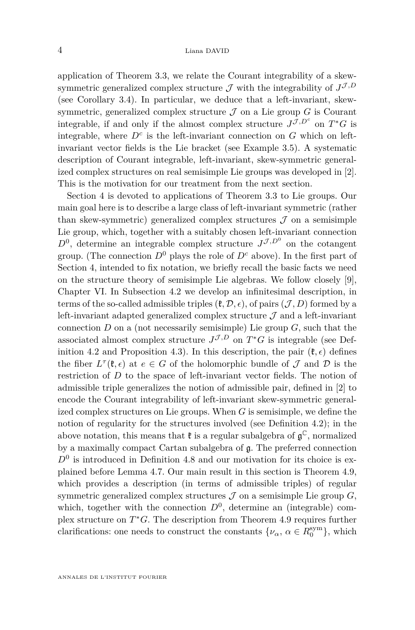application of Theorem [3.3,](#page-12-0) we relate the Courant integrability of a skewsymmetric generalized complex structure  $\mathcal{J}$  with the integrability of  $J^{\mathcal{J},D}$ (see Corollary [3.4\)](#page-13-0). In particular, we deduce that a left-invariant, skewsymmetric, generalized complex structure  $\mathcal J$  on a Lie group  $G$  is Courant integrable, if and only if the almost complex structure  $J^{\mathcal{J},D^c}$  on  $T^*G$  is integrable, where  $D^c$  is the left-invariant connection on  $G$  which on leftinvariant vector fields is the Lie bracket (see Example [3.5\)](#page-14-0). A systematic description of Courant integrable, left-invariant, skew-symmetric generalized complex structures on real semisimple Lie groups was developed in [\[2\]](#page-27-1). This is the motivation for our treatment from the next section.

Section [4](#page-14-1) is devoted to applications of Theorem [3.3](#page-12-0) to Lie groups. Our main goal here is to describe a large class of left-invariant symmetric (rather than skew-symmetric) generalized complex structures  $\mathcal J$  on a semisimple Lie group, which, together with a suitably chosen left-invariant connection  $D^0$ , determine an integrable complex structure  $J^{\mathcal{J},D^0}$  on the cotangent group. (The connection  $D^0$  plays the role of  $D^c$  above). In the first part of Section [4,](#page-14-1) intended to fix notation, we briefly recall the basic facts we need on the structure theory of semisimple Lie algebras. We follow closely [\[9\]](#page-28-2), Chapter VI. In Subsection [4.2](#page-16-0) we develop an infinitesimal description, in terms of the so-called admissible triples  $(\mathfrak{k}, \mathcal{D}, \epsilon)$ , of pairs  $(\mathcal{J}, D)$  formed by a left-invariant adapted generalized complex structure  $\mathcal J$  and a left-invariant connection  $D$  on a (not necessarily semisimple) Lie group  $G$ , such that the associated almost complex structure  $J^{\mathcal{J},D}$  on  $T^*G$  is integrable (see Def-inition [4.2](#page-16-1) and Proposition [4.3\)](#page-16-2). In this description, the pair  $(\ell, \epsilon)$  defines the fiber  $L^{\tau}(\mathfrak{k}, \epsilon)$  at  $e \in G$  of the holomorphic bundle of  $\mathcal J$  and  $\mathcal D$  is the restriction of *D* to the space of left-invariant vector fields. The notion of admissible triple generalizes the notion of admissible pair, defined in [\[2\]](#page-27-1) to encode the Courant integrability of left-invariant skew-symmetric generalized complex structures on Lie groups. When *G* is semisimple, we define the notion of regularity for the structures involved (see Definition [4.2\)](#page-16-1); in the above notation, this means that  $\mathfrak k$  is a regular subalgebra of  $\mathfrak g^\mathbb C$ , normalized by a maximally compact Cartan subalgebra of g. The preferred connection  $D<sup>0</sup>$  is introduced in Definition [4.8](#page-20-0) and our motivation for its choice is explained before Lemma [4.7.](#page-18-0) Our main result in this section is Theorem [4.9,](#page-20-1) which provides a description (in terms of admissible triples) of regular symmetric generalized complex structures  $J$  on a semisimple Lie group  $G$ , which, together with the connection  $D^0$ , determine an (integrable) complex structure on  $T$ <sup>\*</sup>*G*. The description from Theorem [4.9](#page-20-1) requires further clarifications: one needs to construct the constants  $\{\nu_{\alpha}, \alpha \in R_0^{\text{sym}}\}$ , which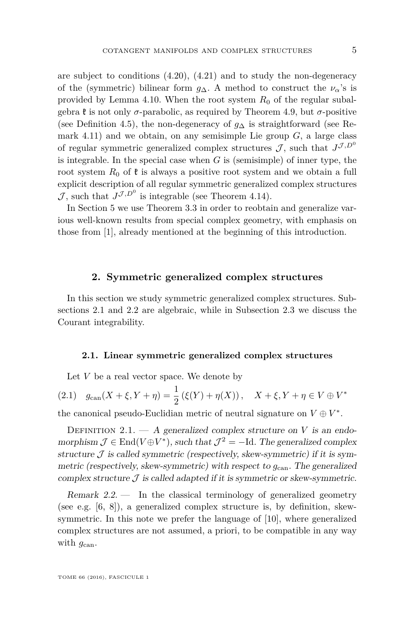are subject to conditions [\(4.20\)](#page-21-0), [\(4.21\)](#page-21-1) and to study the non-degeneracy of the (symmetric) bilinear form  $g_{\Delta}$ . A method to construct the  $\nu_{\alpha}$ 's is provided by Lemma [4.10.](#page-23-0) When the root system  $R_0$  of the regular subalgebra  $\mathfrak k$  is not only *σ*-parabolic, as required by Theorem [4.9,](#page-20-1) but *σ*-positive (see Definition [4.5\)](#page-18-1), the non-degeneracy of *g*<sup>∆</sup> is straightforward (see Re-mark [4.11\)](#page-23-1) and we obtain, on any semisimple Lie group  $G$ , a large class of regular symmetric generalized complex structures  $\mathcal{J}$ , such that  $J^{\mathcal{J},D^0}$ is integrable. In the special case when *G* is (semisimple) of inner type, the root system  $R_0$  of  $\mathfrak k$  is always a positive root system and we obtain a full explicit description of all regular symmetric generalized complex structures  $\mathcal{J}$ , such that  $J^{\mathcal{J},D^0}$  is integrable (see Theorem [4.14\)](#page-25-0).

In Section [5](#page-26-0) we use Theorem [3.3](#page-12-0) in order to reobtain and generalize various well-known results from special complex geometry, with emphasis on those from [\[1\]](#page-27-0), already mentioned at the beginning of this introduction.

#### **2. Symmetric generalized complex structures**

<span id="page-5-0"></span>In this section we study symmetric generalized complex structures. Subsections [2.1](#page-5-2) and [2.2](#page-9-0) are algebraic, while in Subsection [2.3](#page-10-0) we discuss the Courant integrability.

#### <span id="page-5-2"></span>**2.1. Linear symmetric generalized complex structures**

<span id="page-5-3"></span>Let *V* be a real vector space. We denote by

(2.1)  $g_{\text{can}}(X + \xi, Y + \eta) = \frac{1}{2} (\xi(Y) + \eta(X)), \quad X + \xi, Y + \eta \in V \oplus V^*$ the canonical pseudo-Euclidian metric of neutral signature on  $V \oplus V^*$ .

<span id="page-5-1"></span>DEFINITION  $2.1. - A$  generalized complex structure on *V* is an endomorphism  $\mathcal{J} \in \text{End}(V \oplus V^*)$ , such that  $\mathcal{J}^2 = -\text{Id}$ . The generalized complex structure  $\mathcal J$  is called symmetric (respectively, skew-symmetric) if it is symmetric (respectively, skew-symmetric) with respect to  $g_{\text{can}}$ . The generalized complex structure  $\mathcal J$  is called adapted if it is symmetric or skew-symmetric.

Remark  $2.2$ . In the classical terminology of generalized geometry (see e.g. [\[6,](#page-28-1) [8\]](#page-28-3)), a generalized complex structure is, by definition, skewsymmetric. In this note we prefer the language of [\[10\]](#page-28-0), where generalized complex structures are not assumed, a priori, to be compatible in any way with  $g_{\text{can}}$ .

TOME 66 (2016), FASCICULE 1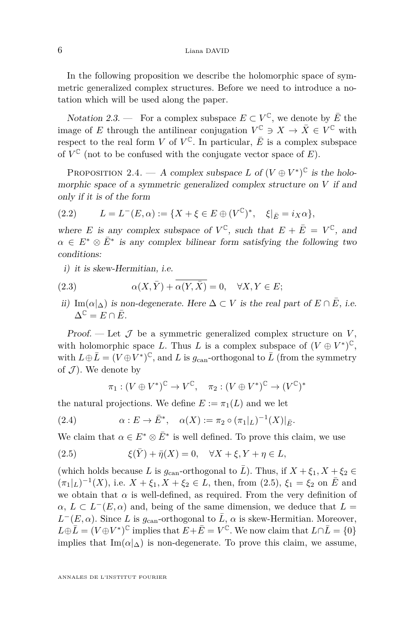In the following proposition we describe the holomorphic space of symmetric generalized complex structures. Before we need to introduce a notation which will be used along the paper.

Notation 2.3. — For a complex subspace  $E \subset V^{\mathbb{C}}$ , we denote by  $\overline{E}$  the image of *E* through the antilinear conjugation  $V^{\mathbb{C}} \ni X \to \overline{X} \in V^{\mathbb{C}}$  with respect to the real form *V* of  $V^{\mathbb{C}}$ . In particular,  $\overline{E}$  is a complex subspace of  $V^{\mathbb{C}}$  (not to be confused with the conjugate vector space of  $E$ ).

<span id="page-6-0"></span>PROPOSITION 2.4. — A complex subspace *L* of  $(V \oplus V^*)^{\mathbb{C}}$  is the holomorphic space of a symmetric generalized complex structure on *V* if and only if it is of the form

<span id="page-6-2"></span>(2.2) 
$$
L = L^{-}(E, \alpha) := \{ X + \xi \in E \oplus (V^{\mathbb{C}})^*, \xi |_{\bar{E}} = i_X \alpha \},
$$

where *E* is any complex subspace of  $V^{\mathbb{C}}$ , such that  $E + \overline{E} = V^{\mathbb{C}}$ , and  $\alpha \in E^* \otimes \overline{E}^*$  is any complex bilinear form satisfying the following two conditions:

<span id="page-6-3"></span>i) it is skew-Hermitian, i.e.

(2.3) 
$$
\alpha(X,\bar{Y}) + \overline{\alpha(Y,\bar{X})} = 0, \quad \forall X, Y \in E;
$$

ii) Im( $\alpha|_{\Delta}$ ) is non-degenerate. Here  $\Delta \subset V$  is the real part of  $E \cap \overline{E}$ , i.e.  $\Delta^{\mathbb{C}} = E \cap \overline{E}.$ 

Proof. — Let  $\mathcal J$  be a symmetric generalized complex structure on  $V$ , with holomorphic space *L*. Thus *L* is a complex subspace of  $(V \oplus V^*)^{\mathbb{C}}$ , with  $L \oplus \overline{L} = (V \oplus V^*)^{\mathbb{C}}$ , and  $L$  is  $g_{\text{can}}$ -orthogonal to  $\overline{L}$  (from the symmetry of  $\mathcal{J}$ ). We denote by

<span id="page-6-1"></span>
$$
\pi_1 : (V \oplus V^*)^{\mathbb{C}} \to V^{\mathbb{C}}, \quad \pi_2 : (V \oplus V^*)^{\mathbb{C}} \to (V^{\mathbb{C}})^*
$$

the natural projections. We define  $E := \pi_1(L)$  and we let

(2.4) 
$$
\alpha: E \to \bar{E}^*, \quad \alpha(X) := \pi_2 \circ (\pi_1|_L)^{-1}(X)|_{\bar{E}}.
$$

We claim that  $\alpha \in E^* \otimes \overline{E}^*$  is well defined. To prove this claim, we use

(2.5) 
$$
\xi(\bar{Y}) + \bar{\eta}(X) = 0, \quad \forall X + \xi, Y + \eta \in L,
$$

(which holds because *L* is  $g_{\text{can}}$ -orthogonal to  $\overline{L}$ ). Thus, if  $X + \xi_1, X + \xi_2 \in$  $(\pi_1|_L)^{-1}(X)$ , i.e.  $X + \xi_1, X + \xi_2 \in L$ , then, from  $(2.5)$ ,  $\xi_1 = \xi_2$  on  $\overline{E}$  and we obtain that  $\alpha$  is well-defined, as required. From the very definition of  $\alpha, L \subset L^{-}(E, \alpha)$  and, being of the same dimension, we deduce that  $L =$  $L^-(E, \alpha)$ . Since *L* is  $g_{\text{can}}$ -orthogonal to  $\overline{L}$ ,  $\alpha$  is skew-Hermitian. Moreover,  $L \oplus \overline{L} = (V \oplus V^*)^{\mathbb{C}}$  implies that  $E + \overline{E} = V^{\mathbb{C}}$ . We now claim that  $L \cap \overline{L} = \{0\}$ implies that Im( $\alpha|_{\Delta}$ ) is non-degenerate. To prove this claim, we assume,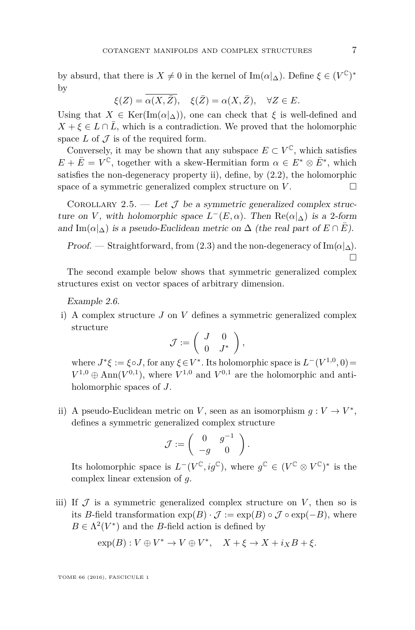by absurd, that there is  $X \neq 0$  in the kernel of  $\text{Im}(\alpha|\Delta)$ . Define  $\xi \in (V^{\mathbb{C}})^*$ by

$$
\xi(Z) = \overline{\alpha(X,\bar{Z})}, \quad \xi(\bar{Z}) = \alpha(X,\bar{Z}), \quad \forall Z \in E.
$$

Using that  $X \in \text{Ker}(\text{Im}(\alpha|\Delta))$ , one can check that  $\xi$  is well-defined and  $X + \xi \in L \cap \overline{L}$ , which is a contradiction. We proved that the holomorphic space  $L$  of  $\mathcal J$  is of the required form.

Conversely, it may be shown that any subspace  $E \subset V^{\mathbb{C}}$ , which satisfies  $E + \overline{E} = V^{\mathbb{C}}$ , together with a skew-Hermitian form  $\alpha \in E^* \otimes \overline{E}^*$ , which satisfies the non-degeneracy property ii), define, by [\(2.2\)](#page-6-2), the holomorphic space of a symmetric generalized complex structure on  $V$ .

COROLLARY 2.5. — Let  $\mathcal J$  be a symmetric generalized complex structure on *V*, with holomorphic space  $L^-(E, \alpha)$ . Then  $\text{Re}(\alpha|\Delta)$  is a 2-form and Im( $\alpha|_{\Delta}$ ) is a pseudo-Euclidean metric on  $\Delta$  (the real part of  $E \cap \overline{E}$ ).

Proof. — Straightforward, from [\(2.3\)](#page-6-3) and the non-degeneracy of Im( $\alpha|\Delta$ ). П

The second example below shows that symmetric generalized complex structures exist on vector spaces of arbitrary dimension.

<span id="page-7-0"></span>Example 2.6.

i) A complex structure *J* on *V* defines a symmetric generalized complex structure

$$
\mathcal{J} := \left( \begin{array}{cc} J & 0 \\ 0 & J^* \end{array} \right),
$$

where  $J^* \xi := \xi \circ J$ , for any  $\xi \in V^*$ . Its holomorphic space is  $L^-(V^{1,0}, 0)$  $V^{1,0} \oplus \text{Ann}(V^{0,1})$ , where  $V^{1,0}$  and  $V^{0,1}$  are the holomorphic and antiholomorphic spaces of *J*.

ii) A pseudo-Euclidean metric on *V*, seen as an isomorphism  $g: V \to V^*$ , defines a symmetric generalized complex structure

$$
\mathcal{J} := \left( \begin{array}{cc} 0 & g^{-1} \\ -g & 0 \end{array} \right).
$$

Its holomorphic space is  $L^-(V^{\mathbb{C}}, ig^{\mathbb{C}})$ , where  $g^{\mathbb{C}} \in (V^{\mathbb{C}} \otimes V^{\mathbb{C}})^*$  is the complex linear extension of *g*.

iii) If  $\cal J$  is a symmetric generalized complex structure on  $V$ , then so is its *B*-field transformation  $exp(B) \cdot \mathcal{J} := exp(B) \circ \mathcal{J} \circ exp(-B)$ , where  $B \in \Lambda^2(V^*)$  and the *B*-field action is defined by

$$
\exp(B): V \oplus V^* \to V \oplus V^*, \quad X + \xi \to X + i_X B + \xi.
$$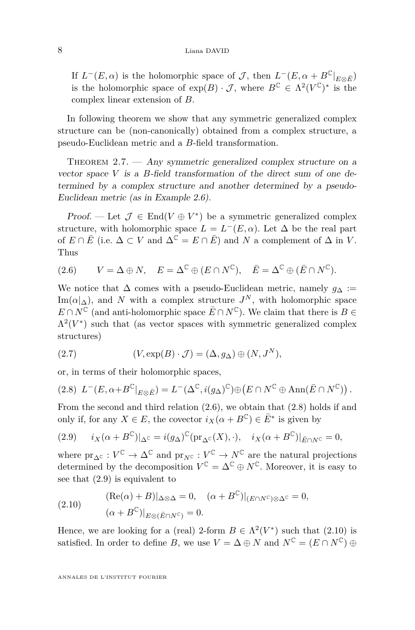If  $L^-(E, \alpha)$  is the holomorphic space of  $\mathcal{J}$ , then  $L^-(E, \alpha + B^{\mathbb{C}}|_{E \otimes \bar{E}})$ is the holomorphic space of  $exp(B) \cdot \mathcal{J}$ , where  $B^{\mathbb{C}} \in \Lambda^2(V^{\mathbb{C}})^*$  is the complex linear extension of *B*.

In following theorem we show that any symmetric generalized complex structure can be (non-canonically) obtained from a complex structure, a pseudo-Euclidean metric and a *B*-field transformation.

<span id="page-8-0"></span>THEOREM  $2.7.$  — Any symmetric generalized complex structure on a vector space *V* is a *B*-field transformation of the direct sum of one determined by a complex structure and another determined by a pseudo-Euclidean metric (as in Example [2.6\)](#page-7-0).

Proof. — Let  $\mathcal{J} \in \text{End}(V \oplus V^*)$  be a symmetric generalized complex structure, with holomorphic space  $L = L^{-}(E, \alpha)$ . Let  $\Delta$  be the real part of  $E \cap \overline{E}$  (i.e.  $\Delta \subset V$  and  $\Delta^{\mathbb{C}} = E \cap \overline{E}$ ) and N a complement of  $\Delta$  in V. Thus

<span id="page-8-1"></span>(2.6) 
$$
V = \Delta \oplus N
$$
,  $E = \Delta^{\mathbb{C}} \oplus (E \cap N^{\mathbb{C}})$ ,  $\overline{E} = \Delta^{\mathbb{C}} \oplus (\overline{E} \cap N^{\mathbb{C}})$ .

We notice that  $\Delta$  comes with a pseudo-Euclidean metric, namely  $g_{\Delta}$  :=  $\text{Im}(\alpha|\Delta)$ , and *N* with a complex structure  $J^N$ , with holomorphic space  $E \cap N^{\mathbb{C}}$  (and anti-holomorphic space  $\overline{E} \cap N^{\mathbb{C}}$ ). We claim that there is  $B \in$  $\Lambda^2(V^*)$  such that (as vector spaces with symmetric generalized complex structures)

(2.7) 
$$
(V, \exp(B) \cdot \mathcal{J}) = (\Delta, g_{\Delta}) \oplus (N, J^N),
$$

or, in terms of their holomorphic spaces,

<span id="page-8-2"></span>
$$
(2.8) \ L^-(E, \alpha + B^{\mathbb{C}}|_{E \otimes \bar{E}}) = L^-(\Delta^{\mathbb{C}}, i(g_\Delta)^{\mathbb{C}}) \oplus (E \cap N^{\mathbb{C}} \oplus \text{Ann}(\bar{E} \cap N^{\mathbb{C}})).
$$

From the second and third relation [\(2.6\)](#page-8-1), we obtain that [\(2.8\)](#page-8-2) holds if and only if, for any  $X \in E$ , the covector  $i_X(\alpha + B^{\mathbb{C}}) \in \overline{E}^*$  is given by

<span id="page-8-3"></span>(2.9) 
$$
i_X(\alpha + B^{\mathbb{C}})|_{\Delta^{\mathbb{C}}} = i(g_\Delta)^{\mathbb{C}} (\text{pr}_{\Delta^{\mathbb{C}}}(X), \cdot), \quad i_X(\alpha + B^{\mathbb{C}})|_{\bar{E} \cap N^{\mathbb{C}}} = 0,
$$

where  $pr_{\Delta^C}: V^{\mathbb{C}} \to \Delta^{\mathbb{C}}$  and  $pr_{N^{\mathbb{C}}}: V^{\mathbb{C}} \to N^{\mathbb{C}}$  are the natural projections determined by the decomposition  $V^{\mathbb{C}} = \Delta^{\mathbb{C}} \oplus N^{\mathbb{C}}$ . Moreover, it is easy to see that [\(2.9\)](#page-8-3) is equivalent to

<span id="page-8-4"></span>(2.10) 
$$
(\text{Re}(\alpha) + B)|_{\Delta \otimes \Delta} = 0, \quad (\alpha + B^{\mathbb{C}})|_{(E \cap N^{\mathbb{C}}) \otimes \Delta^{\mathbb{C}}} = 0,
$$

$$
(\alpha + B^{\mathbb{C}})|_{E \otimes (\bar{E} \cap N^{\mathbb{C}})} = 0.
$$

Hence, we are looking for a (real) 2-form  $B \in \Lambda^2(V^*)$  such that [\(2.10\)](#page-8-4) is satisfied. In order to define *B*, we use  $V = \Delta \oplus N$  and  $N^{\mathbb{C}} = (E \cap N^{\mathbb{C}}) \oplus$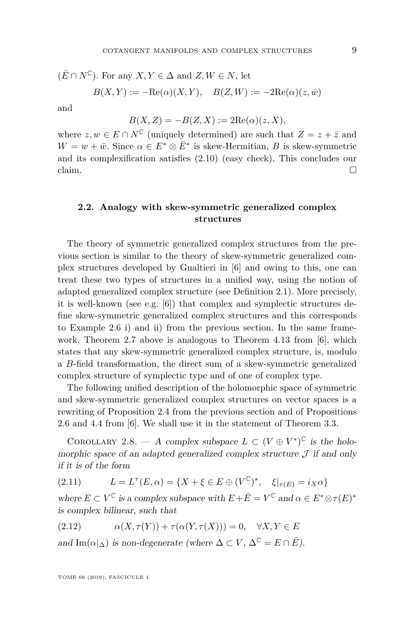$$
(\bar{E} \cap N^{\mathbb{C}})
$$
. For any  $X, Y \in \Delta$  and  $Z, W \in N$ , let  

$$
B(X, Y) := -\text{Re}(\alpha)(X, Y), \quad B(Z, W) := -2\text{Re}(\alpha)(z, \bar{w})
$$

and

$$
B(X, Z) = -B(Z, X) := 2\text{Re}(\alpha)(z, X),
$$

where  $z, w \in E \cap N^{\mathbb{C}}$  (uniquely determined) are such that  $Z = z + \overline{z}$  and  $W = w + \bar{w}$ . Since  $\alpha \in E^* \otimes \bar{E}^*$  is skew-Hermitian, *B* is skew-symmetric and its complexification satisfies [\(2.10\)](#page-8-4) (easy check). This concludes our claim.  $\Box$ 

#### <span id="page-9-0"></span>**2.2. Analogy with skew-symmetric generalized complex structures**

The theory of symmetric generalized complex structures from the previous section is similar to the theory of skew-symmetric generalized complex structures developed by Gualtieri in [\[6\]](#page-28-1) and owing to this, one can treat these two types of structures in a unified way, using the notion of adapted generalized complex structure (see Definition [2.1\)](#page-5-1). More precisely, it is well-known (see e.g. [\[6\]](#page-28-1)) that complex and symplectic structures define skew-symmetric generalized complex structures and this corresponds to Example [2.6](#page-7-0) i) and ii) from the previous section. In the same framework, Theorem [2.7](#page-8-0) above is analogous to Theorem 4.13 from [\[6\]](#page-28-1), which states that any skew-symmetric generalized complex structure, is, modulo a *B*-field transformation, the direct sum of a skew-symmetric generalized complex structure of symplectic type and of one of complex type.

The following unified description of the holomorphic space of symmetric and skew-symmetric generalized complex structures on vector spaces is a rewriting of Proposition [2.4](#page-6-0) from the previous section and of Propositions 2.6 and 4.4 from [\[6\]](#page-28-1). We shall use it in the statement of Theorem [3.3.](#page-12-0)

<span id="page-9-1"></span>COROLLARY 2.8. — A complex subspace  $L \subset (V \oplus V^*)^{\mathbb{C}}$  is the holomorphic space of an adapted generalized complex structure  $\mathcal J$  if and only if it is of the form

<span id="page-9-2"></span>(2.11) 
$$
L = L^{\tau}(E, \alpha) = \{X + \xi \in E \oplus (V^{\mathbb{C}})^*, \xi|_{\tau(E)} = i_X \alpha\}
$$

where  $E \subset V^{\mathbb{C}}$  is a complex subspace with  $E + \overline{E} = V^{\mathbb{C}}$  and  $\alpha \in E^* \otimes \tau(E)^*$ is complex bilinear, such that

<span id="page-9-3"></span>
$$
(2.12) \qquad \alpha(X,\tau(Y)) + \tau(\alpha(Y,\tau(X))) = 0, \quad \forall X, Y \in E
$$

and Im( $\alpha|\Delta$ ) is non-degenerate (where  $\Delta \subset V$ ,  $\Delta^{\mathbb{C}} = E \cap \overline{E}$ ).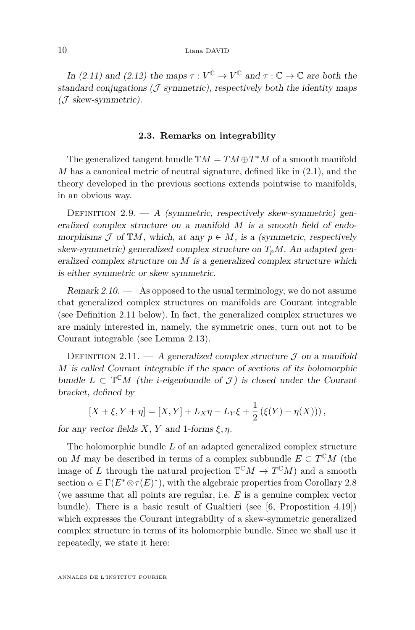In [\(2.11\)](#page-9-2) and [\(2.12\)](#page-9-3) the maps  $\tau : V^{\mathbb{C}} \to V^{\mathbb{C}}$  and  $\tau : \mathbb{C} \to \mathbb{C}$  are both the standard conjugations  $(\mathcal{J}$  symmetric), respectively both the identity maps (J skew-symmetric).

#### **2.3. Remarks on integrability**

<span id="page-10-0"></span>The generalized tangent bundle  $\mathbb{T}M = TM \oplus T^*M$  of a smooth manifold *M* has a canonical metric of neutral signature, defined like in [\(2.1\)](#page-5-3), and the theory developed in the previous sections extends pointwise to manifolds, in an obvious way.

<span id="page-10-1"></span>DEFINITION  $2.9. - A$  (symmetric, respectively skew-symmetric) generalized complex structure on a manifold *M* is a smooth field of endomorphisms  $\mathcal J$  of  $\mathbb{T}M$ , which, at any  $p \in M$ , is a (symmetric, respectively skew-symmetric) generalized complex structure on  $T_pM$ . An adapted generalized complex structure on *M* is a generalized complex structure which is either symmetric or skew symmetric.

Remark  $2.10.$  — As opposed to the usual terminology, we do not assume that generalized complex structures on manifolds are Courant integrable (see Definition [2.11](#page-10-2) below). In fact, the generalized complex structures we are mainly interested in, namely, the symmetric ones, turn out not to be Courant integrable (see Lemma [2.13\)](#page-11-0).

<span id="page-10-2"></span>DEFINITION 2.11. — A generalized complex structure  $\mathcal J$  on a manifold *M* is called Courant integrable if the space of sections of its holomorphic bundle  $L \subset \mathbb{T}^{\mathbb{C}}M$  (the *i*-eigenbundle of  $\mathcal{J}$ ) is closed under the Courant bracket, defined by

$$
[X + \xi, Y + \eta] = [X, Y] + L_X \eta - L_Y \xi + \frac{1}{2} (\xi(Y) - \eta(X))),
$$

for any vector fields  $X$ ,  $Y$  and 1-forms  $\xi, \eta$ .

The holomorphic bundle *L* of an adapted generalized complex structure on *M* may be described in terms of a complex subbundle  $E \subset T^{C}M$  (the image of *L* through the natural projection  $\mathbb{T}^{\mathbb{C}}M \to T^{\mathbb{C}}M$  and a smooth section  $\alpha \in \Gamma(E^* \otimes \tau(E)^*)$ , with the algebraic properties from Corollary [2.8](#page-9-1) (we assume that all points are regular, i.e. *E* is a genuine complex vector bundle). There is a basic result of Gualtieri (see [\[6,](#page-28-1) Propostition 4.19]) which expresses the Courant integrability of a skew-symmetric generalized complex structure in terms of its holomorphic bundle. Since we shall use it repeatedly, we state it here: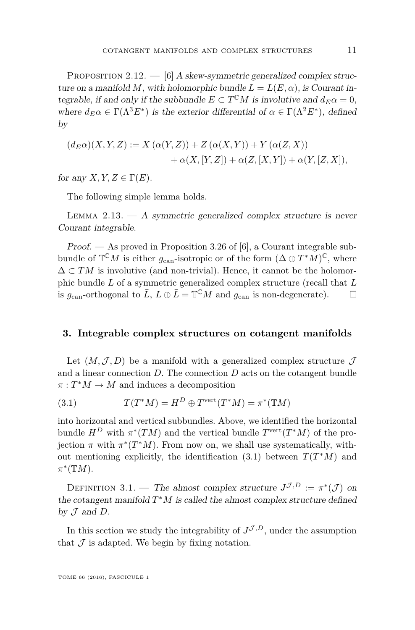<span id="page-11-4"></span>PROPOSITION 2.12.  $-$  [\[6\]](#page-28-1) A skew-symmetric generalized complex structure on a manifold M, with holomorphic bundle  $L = L(E, \alpha)$ , is Courant integrable, if and only if the subbundle  $E \subset T^{C}M$  is involutive and  $d_E \alpha = 0$ , where  $d_E \alpha \in \Gamma(\Lambda^3 E^*)$  is the exterior differential of  $\alpha \in \Gamma(\Lambda^2 E^*)$ , defined by

$$
(d_E \alpha)(X, Y, Z) := X \left( \alpha(Y, Z) \right) + Z \left( \alpha(X, Y) \right) + Y \left( \alpha(Z, X) \right)
$$

$$
+ \alpha(X, [Y, Z]) + \alpha(Z, [X, Y]) + \alpha(Y, [Z, X]),
$$

for any *X*, *Y*,  $Z \in \Gamma(E)$ .

The following simple lemma holds.

<span id="page-11-0"></span>LEMMA  $2.13.$   $-$  A symmetric generalized complex structure is never Courant integrable.

Proof. — As proved in Proposition 3.26 of [\[6\]](#page-28-1), a Courant integrable subbundle of  $\mathbb{T}^{\mathbb{C}}M$  is either  $g_{\text{can}}$ -isotropic or of the form  $(\Delta \oplus T^*M)^{\mathbb{C}}$ , where  $\Delta \subset TM$  is involutive (and non-trivial). Hence, it cannot be the holomorphic bundle *L* of a symmetric generalized complex structure (recall that *L* is  $g_{\text{can}}$ -orthogonal to  $\bar{L}$ ,  $L \oplus \bar{L} = \mathbb{T}^{\mathbb{C}}M$  and  $g_{\text{can}}$  is non-degenerate).  $\Box$ 

#### <span id="page-11-1"></span>**3. Integrable complex structures on cotangent manifolds**

Let  $(M, \mathcal{J}, D)$  be a manifold with a generalized complex structure  $\mathcal{J}$ and a linear connection *D*. The connection *D* acts on the cotangent bundle  $\pi: T^*M \to M$  and induces a decomposition

<span id="page-11-3"></span>(3.1) 
$$
T(T^*M) = H^D \oplus T^{\text{vert}}(T^*M) = \pi^*(TM)
$$

into horizontal and vertical subbundles. Above, we identified the horizontal bundle  $H^D$  with  $\pi^*(TM)$  and the vertical bundle  $T^{\text{vert}}(T^*M)$  of the projection  $\pi$  with  $\pi^*(T^*M)$ . From now on, we shall use systematically, without mentioning explicitly, the identification  $(3.1)$  between  $T(T^*M)$  and *π* ∗ (T*M*).

<span id="page-11-2"></span>DEFINITION 3.1. — The almost complex structure  $J^{\mathcal{J},D} := \pi^*(\mathcal{J})$  on the cotangent manifold  $T^*M$  is called the almost complex structure defined by  $J$  and  $D$ .

In this section we study the integrability of  $J^{\mathcal{J},D}$ , under the assumption that  $\mathcal J$  is adapted. We begin by fixing notation.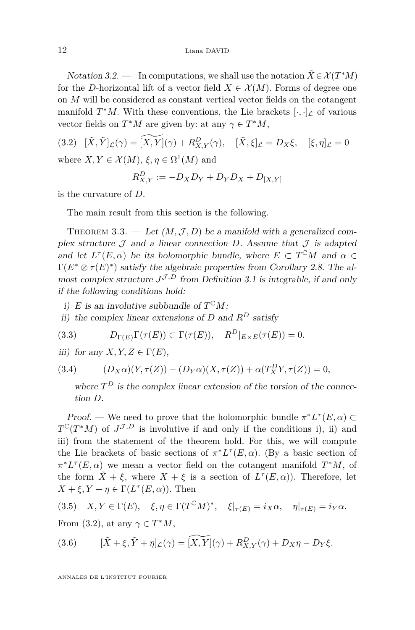Notation 3.2. — In computations, we shall use the notation  $\tilde{X} \in \mathcal{X}(T^*M)$ for the *D*-horizontal lift of a vector field  $X \in \mathcal{X}(M)$ . Forms of degree one on *M* will be considered as constant vertical vector fields on the cotangent manifold  $T^*M$ . With these conventions, the Lie brackets  $[\cdot, \cdot]_{\mathcal{L}}$  of various vector fields on  $T^*M$  are given by: at any  $\gamma \in T^*M$ ,

<span id="page-12-1"></span> $(3.2)$   $[\tilde{X}, \tilde{Y}]_{\mathcal{L}}(\gamma) = [\widetilde{X}, \tilde{Y}](\gamma) + R_{X,Y}^D(\gamma), \quad [\tilde{X}, \xi]_{\mathcal{L}} = D_X \xi, \quad [\xi, \eta]_{\mathcal{L}} = 0$ where  $X, Y \in \mathcal{X}(M)$ ,  $\xi, \eta \in \Omega^1(M)$  and

$$
R_{X,Y}^D := -D_X D_Y + D_Y D_X + D_{[X,Y]}
$$

is the curvature of *D*.

The main result from this section is the following.

<span id="page-12-0"></span>THEOREM 3.3. — Let  $(M, \mathcal{J}, D)$  be a manifold with a generalized complex structure  $\mathcal J$  and a linear connection  $D$ . Assume that  $\mathcal J$  is adapted and let  $L^{\tau}(E, \alpha)$  be its holomorphic bundle, where  $E \subset T^{C}M$  and  $\alpha \in$  $\Gamma(E^* \otimes \tau(E)^*)$  satisfy the algebraic properties from Corollary [2.8.](#page-9-1) The almost complex structure  $J^{\mathcal{J},D}$  from Definition [3.1](#page-11-2) is integrable, if and only if the following conditions hold:

i) *E* is an involutive subbundle of  $T^{\mathbb{C}}M$ ;

ii) the complex linear extensions of *D* and  $R^D$  satisfy

(3.3) 
$$
D_{\Gamma(E)}\Gamma(\tau(E)) \subset \Gamma(\tau(E)), \quad R^D|_{E \times E}(\tau(E)) = 0.
$$

iii) for any  $X, Y, Z \in \Gamma(E)$ ,

(3.4) 
$$
(D_X \alpha)(Y, \tau(Z)) - (D_Y \alpha)(X, \tau(Z)) + \alpha(T_X^D Y, \tau(Z)) = 0,
$$

<span id="page-12-3"></span>where  $T^D$  is the complex linear extension of the torsion of the connection *D*.

Proof. — We need to prove that the holomorphic bundle  $\pi^* L^{\tau}(E, \alpha) \subset$  $T^{\mathbb{C}}(T^*M)$  of  $J^{\mathcal{J},D}$  is involutive if and only if the conditions i), ii) and iii) from the statement of the theorem hold. For this, we will compute the Lie brackets of basic sections of  $\pi^* L^{\tau}(E, \alpha)$ . (By a basic section of  $\pi^* L^{\tau}(E, \alpha)$  we mean a vector field on the cotangent manifold  $T^*M$ , of the form  $\tilde{X} + \xi$ , where  $X + \xi$  is a section of  $L^{\tau}(E, \alpha)$ ). Therefore, let  $X + \xi, Y + \eta \in \Gamma(L^{\tau}(E, \alpha))$ . Then

<span id="page-12-2"></span>
$$
(3.5) \quad X, Y \in \Gamma(E), \quad \xi, \eta \in \Gamma(T^{\mathbb{C}}M)^*, \quad \xi|_{\tau(E)} = i_X \alpha, \quad \eta|_{\tau(E)} = i_Y \alpha.
$$

From [\(3.2\)](#page-12-1), at any  $\gamma \in T^*M$ ,

(3.6) 
$$
[\tilde{X} + \xi, \tilde{Y} + \eta]_{\mathcal{L}}(\gamma) = \widetilde{[X,Y]}(\gamma) + R_{X,Y}^D(\gamma) + D_X \eta - D_Y \xi.
$$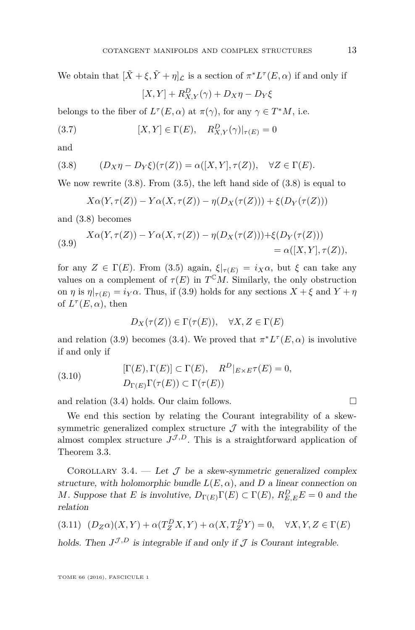We obtain that  $[\tilde{X} + \xi, \tilde{Y} + \eta]_{\mathcal{L}}$  is a section of  $\pi^* L^{\tau}(E, \alpha)$  if and only if

$$
[X,Y] + R_{X,Y}^D(\gamma) + D_X \eta - D_Y \xi
$$

belongs to the fiber of  $L^{\tau}(E, \alpha)$  at  $\pi(\gamma)$ , for any  $\gamma \in T^*M$ , i.e.

(3.7) 
$$
[X,Y] \in \Gamma(E), \quad R_{X,Y}^D(\gamma)|_{\tau(E)} = 0
$$

and

<span id="page-13-1"></span>(3.8) 
$$
(D_X \eta - D_Y \xi)(\tau(Z)) = \alpha([X, Y], \tau(Z)), \quad \forall Z \in \Gamma(E).
$$

We now rewrite  $(3.8)$ . From  $(3.5)$ , the left hand side of  $(3.8)$  is equal to

$$
X\alpha(Y,\tau(Z)) - Y\alpha(X,\tau(Z)) - \eta(D_X(\tau(Z))) + \xi(D_Y(\tau(Z)))
$$

and [\(3.8\)](#page-13-1) becomes

<span id="page-13-2"></span>(3.9) 
$$
X\alpha(Y, \tau(Z)) - Y\alpha(X, \tau(Z)) - \eta(D_X(\tau(Z))) + \xi(D_Y(\tau(Z)))
$$

$$
= \alpha([X, Y], \tau(Z)),
$$

for any  $Z \in \Gamma(E)$ . From [\(3.5\)](#page-12-2) again,  $\xi|_{\tau(E)} = i_X \alpha$ , but  $\xi$  can take any values on a complement of  $\tau(E)$  in  $T^{C}M$ . Similarly, the only obstruction on *η* is  $\eta|_{\tau(E)} = i_Y \alpha$ . Thus, if [\(3.9\)](#page-13-2) holds for any sections  $X + \xi$  and  $Y + \eta$ of  $L^{\tau}(E,\alpha)$ , then

$$
D_X(\tau(Z)) \in \Gamma(\tau(E)), \quad \forall X, Z \in \Gamma(E)
$$

and relation [\(3.9\)](#page-13-2) becomes [\(3.4\)](#page-12-3). We proved that  $\pi^* L^{\tau}(E, \alpha)$  is involutive if and only if

(3.10) 
$$
[\Gamma(E), \Gamma(E)] \subset \Gamma(E), \quad R^D|_{E \times E} \tau(E) = 0,
$$

$$
D_{\Gamma(E)} \Gamma(\tau(E)) \subset \Gamma(\tau(E))
$$

and relation  $(3.4)$  holds. Our claim follows.

We end this section by relating the Courant integrability of a skewsymmetric generalized complex structure  $\mathcal J$  with the integrability of the almost complex structure  $J^{\mathcal{J},D}$ . This is a straightforward application of Theorem [3.3.](#page-12-0)

<span id="page-13-0"></span>COROLLARY 3.4. — Let  $\mathcal{J}$  be a skew-symmetric generalized complex structure, with holomorphic bundle  $L(E, \alpha)$ , and *D* a linear connection on *M*. Suppose that *E* is involutive,  $D_{\Gamma(E)}\Gamma(E) \subset \Gamma(E)$ ,  $R_{E,E}^D E = 0$  and the relation

<span id="page-13-3"></span>
$$
(3.11)\quad (D_Z\alpha)(X,Y) + \alpha(T_Z^DX,Y) + \alpha(X,T_Z^DY) = 0, \quad \forall X,Y,Z \in \Gamma(E)
$$

holds. Then  $J^{\mathcal{J},D}$  is integrable if and only if  $\mathcal J$  is Courant integrable.

TOME 66 (2016), FASCICULE 1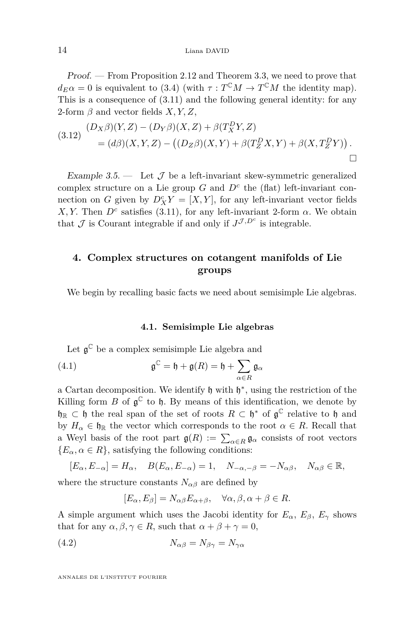Proof. — From Proposition [2.12](#page-11-4) and Theorem [3.3,](#page-12-0) we need to prove that  $d_E \alpha = 0$  is equivalent to [\(3.4\)](#page-12-3) (with  $\tau : T^{\mathbb{C}}M \to T^{\mathbb{C}}M$  the identity map). This is a consequence of [\(3.11\)](#page-13-3) and the following general identity: for any 2-form *β* and vector fields *X, Y, Z*,

<span id="page-14-3"></span>
$$
(3.12) \frac{(D_X \beta)(Y, Z) - (D_Y \beta)(X, Z) + \beta(T_X^D Y, Z)}{=(d\beta)(X, Y, Z) - ((D_Z \beta)(X, Y) + \beta(T_Z^D X, Y) + \beta(X, T_Z^D Y))}.
$$

<span id="page-14-0"></span>Example 3.5.  $\qquad$  Let  $\mathcal J$  be a left-invariant skew-symmetric generalized complex structure on a Lie group  $G$  and  $D<sup>c</sup>$  the (flat) left-invariant connection on *G* given by  $D_X^c Y = [X, Y]$ , for any left-invariant vector fields *X, Y.* Then  $D^c$  satisfies [\(3.11\)](#page-13-3), for any left-invariant 2-form  $\alpha$ . We obtain that  $\mathcal J$  is Courant integrable if and only if  $J^{\mathcal J, D^c}$  is integrable.

#### <span id="page-14-1"></span>**4. Complex structures on cotangent manifolds of Lie groups**

We begin by recalling basic facts we need about semisimple Lie algebras.

#### **4.1. Semisimple Lie algebras**

<span id="page-14-2"></span>Let  $\mathfrak{g}^{\mathbb{C}}$  be a complex semisimple Lie algebra and

(4.1) 
$$
\mathfrak{g}^{\mathbb{C}} = \mathfrak{h} + \mathfrak{g}(R) = \mathfrak{h} + \sum_{\alpha \in R} \mathfrak{g}_{\alpha}
$$

a Cartan decomposition. We identify  $\mathfrak h$  with  $\mathfrak h^*$ , using the restriction of the Killing form  $B$  of  $\mathfrak{g}^{\mathbb{C}}$  to  $\mathfrak{h}$ . By means of this identification, we denote by  $\mathfrak{h}_{\mathbb{R}} \subset \mathfrak{h}$  the real span of the set of roots  $R \subset \mathfrak{h}^*$  of  $\mathfrak{g}^{\mathbb{C}}$  relative to  $\mathfrak{h}$  and by  $H_{\alpha} \in \mathfrak{h}_{\mathbb{R}}$  the vector which corresponds to the root  $\alpha \in R$ . Recall that a Weyl basis of the root part  $\mathfrak{g}(R) := \sum_{\alpha \in R} \mathfrak{g}_{\alpha}$  consists of root vectors  ${E_{\alpha}, \alpha \in R}$ , satisfying the following conditions:

$$
[E_{\alpha}, E_{-\alpha}] = H_{\alpha}, \quad B(E_{\alpha}, E_{-\alpha}) = 1, \quad N_{-\alpha, -\beta} = -N_{\alpha\beta}, \quad N_{\alpha\beta} \in \mathbb{R},
$$
  
where the structure constants  $N_{\alpha\beta}$  are defined by

$$
[E_{\alpha}, E_{\beta}] = N_{\alpha\beta} E_{\alpha+\beta}, \quad \forall \alpha, \beta, \alpha + \beta \in R
$$

A simple argument which uses the Jacobi identity for  $E_{\alpha}$ ,  $E_{\beta}$ ,  $E_{\gamma}$  shows that for any  $\alpha, \beta, \gamma \in R$ , such that  $\alpha + \beta + \gamma = 0$ ,

$$
(4.2) \t\t N_{\alpha\beta} = N_{\beta\gamma} = N_{\gamma\alpha}
$$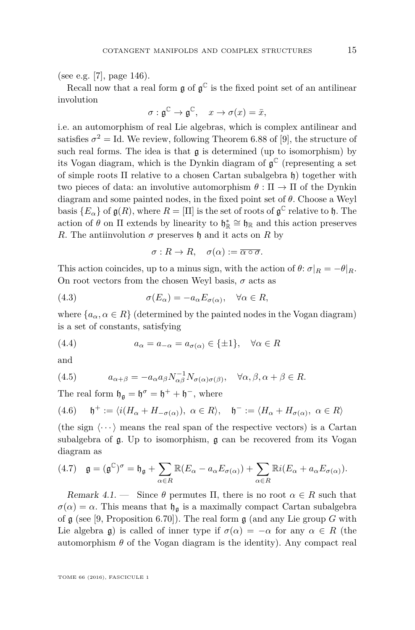(see e.g. [\[7\]](#page-28-4), page 146).

Recall now that a real form  $\mathfrak g$  of  $\mathfrak g^\mathbb C$  is the fixed point set of an antilinear involution

$$
\sigma: \mathfrak{g}^{\mathbb{C}} \to \mathfrak{g}^{\mathbb{C}}, \quad x \to \sigma(x) = \bar{x},
$$

i.e. an automorphism of real Lie algebras, which is complex antilinear and satisfies  $\sigma^2 = \text{Id}$ . We review, following Theorem 6.88 of [\[9\]](#page-28-2), the structure of such real forms. The idea is that  $\mathfrak g$  is determined (up to isomorphism) by its Vogan diagram, which is the Dynkin diagram of  $\mathfrak{g}^{\mathbb{C}}$  (representing a set of simple roots Π relative to a chosen Cartan subalgebra h) together with two pieces of data: an involutive automorphism  $\theta : \Pi \to \Pi$  of the Dynkin diagram and some painted nodes, in the fixed point set of *θ.* Choose a Weyl basis  ${E_\alpha}$  of  $\mathfrak{g}(R)$ , where  $R = [\Pi]$  is the set of roots of  $\mathfrak{g}^{\mathbb{C}}$  relative to h. The action of  $\theta$  on  $\Pi$  extends by linearity to  $\mathfrak{h}_{\mathbb{R}} \cong \mathfrak{h}_{\mathbb{R}}$  and this action preserves *R*. The antiinvolution *σ* preserves  $\mathfrak h$  and it acts on *R* by

$$
\sigma: R \to R, \quad \sigma(\alpha) := \overline{\alpha \circ \sigma}.
$$

This action coincides, up to a minus sign, with the action of  $\theta$ :  $\sigma|_R = -\theta|_R$ . On root vectors from the chosen Weyl basis,  $\sigma$  acts as

(4.3) 
$$
\sigma(E_{\alpha}) = -a_{\alpha} E_{\sigma(\alpha)}, \quad \forall \alpha \in R,
$$

where  $\{a_{\alpha}, \alpha \in R\}$  (determined by the painted nodes in the Vogan diagram) is a set of constants, satisfying

<span id="page-15-1"></span>(4.4) 
$$
a_{\alpha} = a_{-\alpha} = a_{\sigma(\alpha)} \in \{\pm 1\}, \quad \forall \alpha \in R
$$

and

(4.5) 
$$
a_{\alpha+\beta} = -a_{\alpha} a_{\beta} N_{\alpha\beta}^{-1} N_{\sigma(\alpha)\sigma(\beta)}, \quad \forall \alpha, \beta, \alpha + \beta \in R.
$$

The real form  $\mathfrak{h}_{\mathfrak{g}} = \mathfrak{h}^{\sigma} = \mathfrak{h}^+ + \mathfrak{h}^-$ , where

(4.6) 
$$
\mathfrak{h}^+ := \langle i(H_\alpha + H_{-\sigma(\alpha)}), \alpha \in R \rangle, \mathfrak{h}^- := \langle H_\alpha + H_{\sigma(\alpha)}, \alpha \in R \rangle
$$

(the sign  $\langle \cdots \rangle$  means the real span of the respective vectors) is a Cartan subalgebra of g. Up to isomorphism, g can be recovered from its Vogan diagram as

<span id="page-15-0"></span>
$$
(4.7) \quad \mathfrak{g} = (\mathfrak{g}^{\mathbb{C}})^{\sigma} = \mathfrak{h}_{\mathfrak{g}} + \sum_{\alpha \in R} \mathbb{R}(E_{\alpha} - a_{\alpha} E_{\sigma(\alpha)}) + \sum_{\alpha \in R} \mathbb{R}i(E_{\alpha} + a_{\alpha} E_{\sigma(\alpha)}).
$$

Remark 4.1. — Since  $\theta$  permutes  $\Pi$ , there is no root  $\alpha \in R$  such that  $\sigma(\alpha) = \alpha$ . This means that  $\mathfrak{h}_{\mathfrak{g}}$  is a maximally compact Cartan subalgebra of g (see [\[9,](#page-28-2) Proposition 6.70]). The real form g (and any Lie group *G* with Lie algebra g) is called of inner type if  $\sigma(\alpha) = -\alpha$  for any  $\alpha \in R$  (the automorphism  $\theta$  of the Vogan diagram is the identity). Any compact real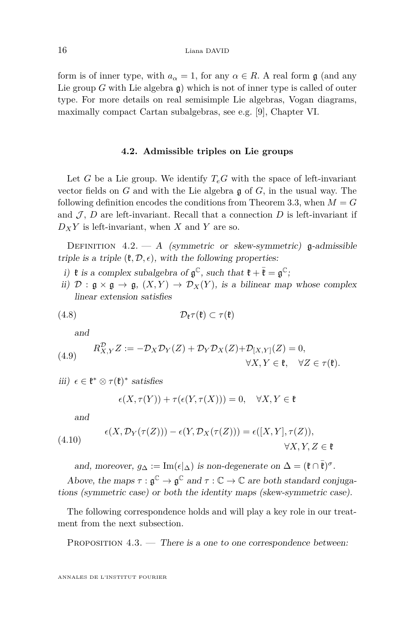form is of inner type, with  $a_{\alpha} = 1$ , for any  $\alpha \in R$ . A real form g (and any Lie group *G* with Lie algebra g) which is not of inner type is called of outer type. For more details on real semisimple Lie algebras, Vogan diagrams, maximally compact Cartan subalgebras, see e.g. [\[9\]](#page-28-2), Chapter VI.

#### **4.2. Admissible triples on Lie groups**

<span id="page-16-0"></span>Let *G* be a Lie group. We identify  $T_eG$  with the space of left-invariant vector fields on *G* and with the Lie algebra g of *G*, in the usual way. The following definition encodes the conditions from Theorem [3.3,](#page-12-0) when  $M = G$ and  $J, D$  are left-invariant. Recall that a connection  $D$  is left-invariant if  $D_X Y$  is left-invariant, when *X* and *Y* are so.

<span id="page-16-1"></span>DEFINITION  $4.2. - A$  (symmetric or skew-symmetric) g-admissible triple is a triple  $(\mathfrak{k}, \mathcal{D}, \epsilon)$ , with the following properties:

- i)  $\mathfrak k$  is a complex subalgebra of  $\mathfrak g^{\mathbb C}$ , such that  $\mathfrak k + \overline{\mathfrak k} = \mathfrak g^{\mathbb C}$ ;
- ii)  $\mathcal{D}: \mathfrak{g} \times \mathfrak{g} \to \mathfrak{g}, (X, Y) \to \mathcal{D}_X(Y)$ , is a bilinear map whose complex linear extension satisfies

$$
(4.8) \t\t \t\t \mathcal{D}_{\mathfrak{k}}\tau(\mathfrak{k}) \subset \tau(\mathfrak{k})
$$

<span id="page-16-4"></span>and

<span id="page-16-5"></span>(4.9) 
$$
R_{X,Y}^{\mathcal{D}}Z := -\mathcal{D}_X \mathcal{D}_Y(Z) + \mathcal{D}_Y \mathcal{D}_X(Z) + \mathcal{D}_{[X,Y]}(Z) = 0, \forall X, Y \in \mathfrak{k}, \quad \forall Z \in \tau(\mathfrak{k}).
$$

iii)  $\epsilon \in \mathfrak{k}^* \otimes \tau(\mathfrak{k})^*$  satisfies

$$
\epsilon(X,\tau(Y)) + \tau(\epsilon(Y,\tau(X))) = 0, \quad \forall X,Y \in \mathfrak{k}
$$

and

<span id="page-16-3"></span>(4.10) 
$$
\epsilon(X, \mathcal{D}_Y(\tau(Z))) - \epsilon(Y, \mathcal{D}_X(\tau(Z))) = \epsilon([X, Y], \tau(Z)),
$$

$$
\forall X, Y, Z \in \mathfrak{k}
$$

and, moreover,  $g_{\Delta} := \text{Im}(\epsilon |_{\Delta})$  is non-degenerate on  $\Delta = (\mathfrak{k} \cap \overline{\mathfrak{k}})^{\sigma}$ .

Above, the maps  $\tau : \mathfrak{g}^{\mathbb{C}} \to \mathfrak{g}^{\mathbb{C}}$  and  $\tau : \mathbb{C} \to \mathbb{C}$  are both standard conjugations (symmetric case) or both the identity maps (skew-symmetric case).

The following correspondence holds and will play a key role in our treatment from the next subsection.

<span id="page-16-2"></span>PROPOSITION 4.3. — There is a one to one correspondence between: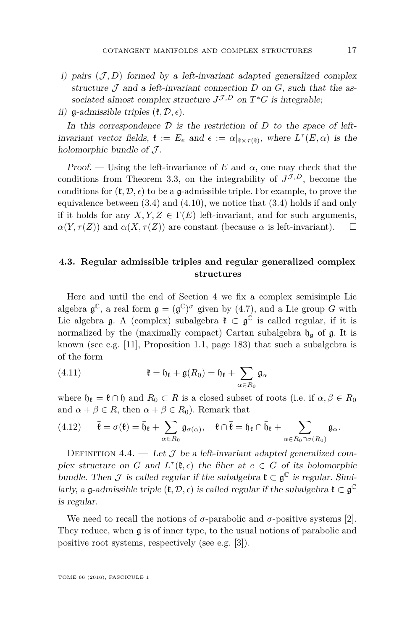- i) pairs  $(\mathcal{J}, D)$  formed by a left-invariant adapted generalized complex structure  $\mathcal J$  and a left-invariant connection  $D$  on  $G$ , such that the associated almost complex structure  $J^{\mathcal{J},D}$  on  $T^*G$  is integrable;
- ii)  $\mathfrak{g}$ -admissible triples  $(\mathfrak{k}, \mathcal{D}, \epsilon)$ .

In this correspondence  $D$  is the restriction of  $D$  to the space of leftinvariant vector fields,  $\mathfrak{k} := E_e$  and  $\epsilon := \alpha|_{\mathfrak{k} \times \tau(\mathfrak{k})}$ , where  $L^{\tau}(E, \alpha)$  is the holomorphic bundle of  $\mathcal{J}$ .

Proof. — Using the left-invariance of  $E$  and  $\alpha$ , one may check that the conditions from Theorem [3.3,](#page-12-0) on the integrability of  $J^{\mathcal{J},D}$ , become the conditions for  $(\mathfrak{k}, \mathcal{D}, \epsilon)$  to be a g-admissible triple. For example, to prove the equivalence between  $(3.4)$  and  $(4.10)$ , we notice that  $(3.4)$  holds if and only if it holds for any  $X, Y, Z \in \Gamma(E)$  left-invariant, and for such arguments,  $\alpha(Y, \tau(Z))$  and  $\alpha(X, \tau(Z))$  are constant (because  $\alpha$  is left-invariant).  $\square$ 

#### **4.3. Regular admissible triples and regular generalized complex structures**

Here and until the end of Section [4](#page-14-1) we fix a complex semisimple Lie algebra  $\mathfrak{g}^{\mathbb{C}}$ , a real form  $\mathfrak{g} = (\mathfrak{g}^{\mathbb{C}})^{\sigma}$  given by [\(4.7\)](#page-15-0), and a Lie group *G* with Lie algebra  $\mathfrak{g}$ . A (complex) subalgebra  $\mathfrak{k} \subset \mathfrak{g}^{\mathbb{C}}$  is called regular, if it is normalized by the (maximally compact) Cartan subalgebra  $\mathfrak{h}_{\mathfrak{g}}$  of  $\mathfrak{g}$ . It is known (see e.g. [\[11\]](#page-28-5), Proposition 1.1, page 183) that such a subalgebra is of the form

<span id="page-17-0"></span>(4.11) 
$$
\mathfrak{k} = \mathfrak{h}_{\mathfrak{k}} + \mathfrak{g}(R_0) = \mathfrak{h}_{\mathfrak{k}} + \sum_{\alpha \in R_0} \mathfrak{g}_{\alpha}
$$

where  $\mathfrak{h}_{\mathfrak{k}} = \mathfrak{k} \cap \mathfrak{h}$  and  $R_0 \subset R$  is a closed subset of roots (i.e. if  $\alpha, \beta \in R_0$ and  $\alpha + \beta \in R$ , then  $\alpha + \beta \in R_0$ ). Remark that

<span id="page-17-1"></span>
$$
(4.12) \qquad \bar{\mathfrak{k}} = \sigma(\mathfrak{k}) = \bar{\mathfrak{h}}_{\mathfrak{k}} + \sum_{\alpha \in R_0} \mathfrak{g}_{\sigma(\alpha)}, \quad \mathfrak{k} \cap \bar{\mathfrak{k}} = \mathfrak{h}_{\mathfrak{k}} \cap \bar{\mathfrak{h}}_{\mathfrak{k}} + \sum_{\alpha \in R_0 \cap \sigma(R_0)} \mathfrak{g}_{\alpha}.
$$

DEFINITION 4.4. — Let  $\mathcal J$  be a left-invariant adapted generalized complex structure on *G* and  $L^{\tau}(\mathfrak{k}, \epsilon)$  the fiber at  $e \in G$  of its holomorphic bundle. Then  $\mathcal J$  is called regular if the subalgebra  $\mathfrak{k} \subset \mathfrak{g}^{\mathbb{C}}$  is regular. Similarly, a  $\mathfrak g$ -admissible triple  $(\mathfrak k, \mathcal D, \epsilon)$  is called regular if the subalgebra  $\mathfrak k \subset \mathfrak g^\mathbb C$ is regular.

We need to recall the notions of  $\sigma$ -parabolic and  $\sigma$ -positive systems [\[2\]](#page-27-1). They reduce, when g is of inner type, to the usual notions of parabolic and positive root systems, respectively (see e.g. [\[3\]](#page-27-2)).

TOME 66 (2016), FASCICULE 1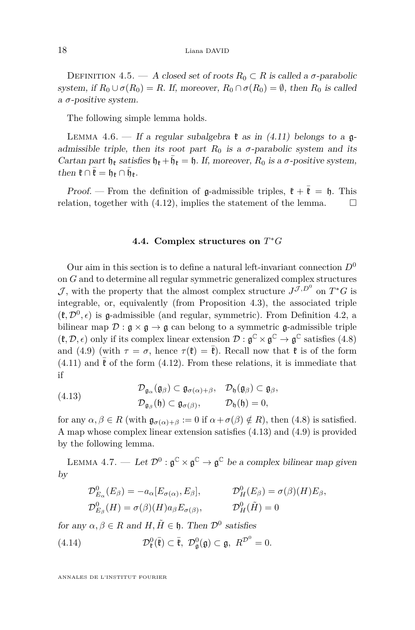<span id="page-18-1"></span>DEFINITION 4.5. — A closed set of roots  $R_0 \subset R$  is called a  $\sigma$ -parabolic system, if  $R_0 \cup \sigma(R_0) = R$ . If, moreover,  $R_0 \cap \sigma(R_0) = \emptyset$ , then  $R_0$  is called a *σ*-positive system.

The following simple lemma holds.

<span id="page-18-3"></span>LEMMA 4.6. — If a regular subalgebra  $\mathfrak k$  as in [\(4.11\)](#page-17-0) belongs to a  $\mathfrak q$ admissible triple, then its root part  $R_0$  is a  $\sigma$ -parabolic system and its Cartan part  $\mathfrak{h}_k$  satisfies  $\mathfrak{h}_k + \bar{\mathfrak{h}}_k = \mathfrak{h}$ . If, moreover,  $R_0$  is a  $\sigma$ -positive system, then  $\mathfrak{k} \cap \overline{\mathfrak{k}} = \mathfrak{h}_{\mathfrak{k}} \cap \overline{\mathfrak{h}}_{\mathfrak{k}}.$ 

*Proof.* — From the definition of  $\mathfrak{g}$ -admissible triples,  $\mathfrak{k} + \overline{\mathfrak{k}} = \mathfrak{h}$ . This relation, together with  $(4.12)$ , implies the statement of the lemma.  $\Box$ 

#### **4.4. Complex structures on** *T* <sup>∗</sup>*G*

Our aim in this section is to define a natural left-invariant connection  $D^0$ on *G* and to determine all regular symmetric generalized complex structures J, with the property that the almost complex structure  $J^{\mathcal{J},D^0}$  on  $T^*G$  is integrable, or, equivalently (from Proposition [4.3\)](#page-16-2), the associated triple  $(\mathfrak{k}, \mathcal{D}^0, \epsilon)$  is **g**-admissible (and regular, symmetric). From Definition [4.2,](#page-16-1) a bilinear map  $\mathcal{D}: \mathfrak{g} \times \mathfrak{g} \to \mathfrak{g}$  can belong to a symmetric g-admissible triple  $(\mathfrak{k}, \mathcal{D}, \epsilon)$  only if its complex linear extension  $\mathcal{D}: \mathfrak{g}^{\mathbb{C}} \times \mathfrak{g}^{\mathbb{C}} \to \mathfrak{g}^{\mathbb{C}}$  satisfies [\(4.8\)](#page-16-4) and [\(4.9\)](#page-16-5) (with  $\tau = \sigma$ , hence  $\tau(\mathfrak{k}) = \overline{\mathfrak{k}}$ ). Recall now that  $\mathfrak{k}$  is of the form  $(4.11)$  and  $\bar{\mathfrak{k}}$  of the form  $(4.12)$ . From these relations, it is immediate that if

<span id="page-18-2"></span>(4.13) 
$$
\mathcal{D}_{\mathfrak{g}_{\alpha}}(\mathfrak{g}_{\beta}) \subset \mathfrak{g}_{\sigma(\alpha)+\beta}, \quad \mathcal{D}_{\mathfrak{h}}(\mathfrak{g}_{\beta}) \subset \mathfrak{g}_{\beta}, \mathcal{D}_{\mathfrak{g}_{\beta}}(\mathfrak{h}) \subset \mathfrak{g}_{\sigma(\beta)}, \qquad \mathcal{D}_{\mathfrak{h}}(\mathfrak{h}) = 0,
$$

for any  $\alpha, \beta \in R$  (with  $\mathfrak{g}_{\sigma(\alpha)+\beta} := 0$  if  $\alpha + \sigma(\beta) \notin R$ ), then [\(4.8\)](#page-16-4) is satisfied. A map whose complex linear extension satisfies [\(4.13\)](#page-18-2) and [\(4.9\)](#page-16-5) is provided by the following lemma.

<span id="page-18-0"></span>LEMMA 4.7. — Let  $\mathcal{D}^0: \mathfrak{g}^{\mathbb{C}} \times \mathfrak{g}^{\mathbb{C}} \to \mathfrak{g}^{\mathbb{C}}$  be a complex bilinear map given by

$$
\mathcal{D}_{E_{\alpha}}^0(E_{\beta}) = -a_{\alpha}[E_{\sigma(\alpha)}, E_{\beta}], \qquad \mathcal{D}_H^0(E_{\beta}) = \sigma(\beta)(H)E_{\beta},
$$
  

$$
\mathcal{D}_{E_{\beta}}^0(H) = \sigma(\beta)(H)a_{\beta}E_{\sigma(\beta)}, \qquad \mathcal{D}_H^0(\tilde{H}) = 0
$$

for any  $\alpha, \beta \in R$  and  $H, \tilde{H} \in \mathfrak{h}$ . Then  $\mathcal{D}^0$  satisfies

(4.14) 
$$
\mathcal{D}_{\mathfrak{k}}^0(\overline{\mathfrak{k}}) \subset \overline{\mathfrak{k}}, \ \mathcal{D}_{\mathfrak{g}}^0(\mathfrak{g}) \subset \mathfrak{g}, \ R^{\mathcal{D}^0} = 0.
$$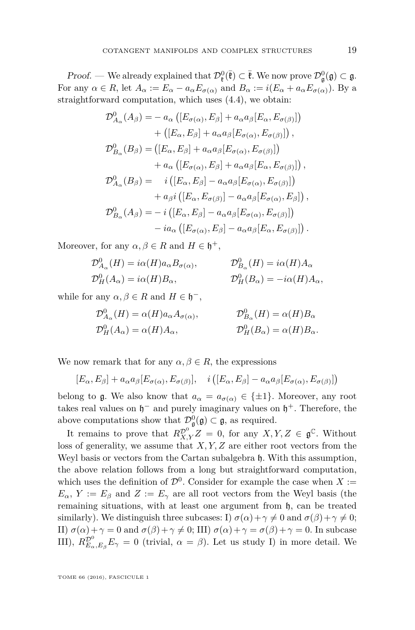Proof. — We already explained that  $\mathcal{D}_{\ell}^0(\bar{F}) \subset \bar{F}$ . We now prove  $\mathcal{D}_{\mathfrak{g}}^0(\mathfrak{g}) \subset \mathfrak{g}$ . For any  $\alpha \in R$ , let  $A_{\alpha} := E_{\alpha} - a_{\alpha} E_{\sigma(\alpha)}$  and  $B_{\alpha} := i(E_{\alpha} + a_{\alpha} E_{\sigma(\alpha)})$ . By a straightforward computation, which uses [\(4.4\)](#page-15-1), we obtain:

$$
\mathcal{D}_{A_{\alpha}}^{0}(A_{\beta}) = - a_{\alpha} ([E_{\sigma(\alpha)}, E_{\beta}] + a_{\alpha} a_{\beta} [E_{\alpha}, E_{\sigma(\beta)}]) \n+ ([E_{\alpha}, E_{\beta}] + a_{\alpha} a_{\beta} [E_{\sigma(\alpha)}, E_{\sigma(\beta)}]) , \n\mathcal{D}_{B_{\alpha}}^{0}(B_{\beta}) = ([E_{\alpha}, E_{\beta}] + a_{\alpha} a_{\beta} [E_{\sigma(\alpha)}, E_{\sigma(\beta)}]) \n+ a_{\alpha} ([E_{\sigma(\alpha)}, E_{\beta}] + a_{\alpha} a_{\beta} [E_{\alpha}, E_{\sigma(\beta)}]) , \n\mathcal{D}_{A_{\alpha}}^{0}(B_{\beta}) = i ([E_{\alpha}, E_{\beta}] - a_{\alpha} a_{\beta} [E_{\sigma(\alpha)}, E_{\sigma(\beta)}]) \n+ a_{\beta} i ([E_{\alpha}, E_{\sigma(\beta)}] - a_{\alpha} a_{\beta} [E_{\sigma(\alpha)}, E_{\beta}]) , \n\mathcal{D}_{B_{\alpha}}^{0}(A_{\beta}) = -i ([E_{\alpha}, E_{\beta}] - a_{\alpha} a_{\beta} [E_{\sigma(\alpha)}, E_{\sigma(\beta)}]) \n- i a_{\alpha} ([E_{\sigma(\alpha)}, E_{\beta}] - a_{\alpha} a_{\beta} [E_{\alpha}, E_{\sigma(\beta)}]).
$$

Moreover, for any  $\alpha, \beta \in R$  and  $H \in \mathfrak{h}^+,$ 

$$
\mathcal{D}_{A_{\alpha}}^0(H) = i\alpha(H)a_{\alpha}B_{\sigma(\alpha)}, \qquad \mathcal{D}_{B_{\alpha}}^0(H) = i\alpha(H)A_{\alpha}
$$
  

$$
\mathcal{D}_H^0(A_{\alpha}) = i\alpha(H)B_{\alpha}, \qquad \mathcal{D}_H^0(B_{\alpha}) = -i\alpha(H)A_{\alpha},
$$

while for any  $\alpha, \beta \in R$  and  $H \in \mathfrak{h}^-$ ,

$$
\mathcal{D}_{A_{\alpha}}^{0}(H) = \alpha(H)a_{\alpha}A_{\sigma(\alpha)}, \qquad \mathcal{D}_{B_{\alpha}}^{0}(H) = \alpha(H)B_{\alpha}
$$
  

$$
\mathcal{D}_{H}^{0}(A_{\alpha}) = \alpha(H)A_{\alpha}, \qquad \mathcal{D}_{H}^{0}(B_{\alpha}) = \alpha(H)B_{\alpha}.
$$

We now remark that for any  $\alpha, \beta \in R$ , the expressions

$$
[E_{\alpha}, E_{\beta}] + a_{\alpha} a_{\beta} [E_{\sigma(\alpha)}, E_{\sigma(\beta)}], \quad i ([E_{\alpha}, E_{\beta}] - a_{\alpha} a_{\beta} [E_{\sigma(\alpha)}, E_{\sigma(\beta)}])
$$

belong to g. We also know that  $a_{\alpha} = a_{\sigma(\alpha)} \in \{\pm 1\}$ . Moreover, any root takes real values on  $\mathfrak{h}^-$  and purely imaginary values on  $\mathfrak{h}^+$ . Therefore, the above computations show that  $\mathcal{D}_{\mathfrak{g}}^0(\mathfrak{g}) \subset \mathfrak{g}$ , as required.

It remains to prove that  $R_{X,Y}^{\mathcal{D}^0}Z = 0$ , for any  $X,Y,Z \in \mathfrak{g}^{\mathbb{C}}$ . Without loss of generality, we assume that *X, Y, Z* are either root vectors from the Weyl basis or vectors from the Cartan subalgebra h*.* With this assumption, the above relation follows from a long but straightforward computation, which uses the definition of  $\mathcal{D}^0$ . Consider for example the case when *X* :=  $E_{\alpha}$ ,  $Y := E_{\beta}$  and  $Z := E_{\gamma}$  are all root vectors from the Weyl basis (the remaining situations, with at least one argument from h, can be treated similarly). We distinguish three subcases: I)  $\sigma(\alpha) + \gamma \neq 0$  and  $\sigma(\beta) + \gamma \neq 0$ ; II)  $\sigma(\alpha) + \gamma = 0$  and  $\sigma(\beta) + \gamma \neq 0$ ; III)  $\sigma(\alpha) + \gamma = \sigma(\beta) + \gamma = 0$ . In subcase III),  $R_{E_{\alpha},E_{\beta}}^{\mathcal{D}^0}E_{\gamma}=0$  (trivial,  $\alpha=\beta$ ). Let us study I) in more detail. We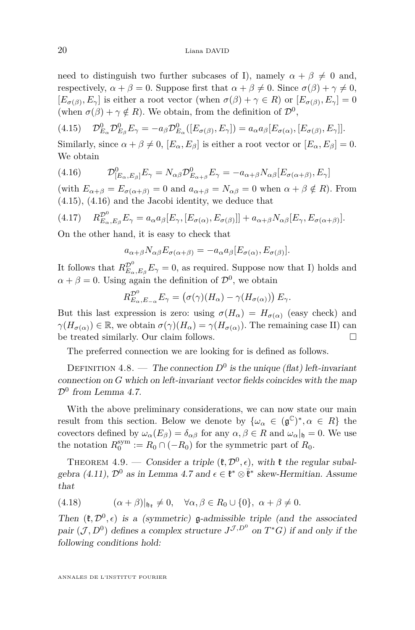need to distinguish two further subcases of I), namely  $\alpha + \beta \neq 0$  and, respectively,  $\alpha + \beta = 0$ . Suppose first that  $\alpha + \beta \neq 0$ . Since  $\sigma(\beta) + \gamma \neq 0$ ,  $[E_{\sigma(\beta)}, E_{\gamma}]$  is either a root vector (when  $\sigma(\beta) + \gamma \in R$ ) or  $[E_{\sigma(\beta)}, E_{\gamma}] = 0$ (when  $\sigma(\beta) + \gamma \notin R$ ). We obtain, from the definition of  $\mathcal{D}^0$ ,

<span id="page-20-2"></span> $(4.15)$  ${}^{0}_{E_{\alpha}}\mathcal{D}^{0}_{E_{\beta}}E_{\gamma} = -a_{\beta}\mathcal{D}^{0}_{E_{\alpha}}([E_{\sigma(\beta)}, E_{\gamma}]) = a_{\alpha}a_{\beta}[E_{\sigma(\alpha)}, [E_{\sigma(\beta)}, E_{\gamma}]].$ 

Similarly, since  $\alpha + \beta \neq 0$ ,  $[E_{\alpha}, E_{\beta}]$  is either a root vector or  $[E_{\alpha}, E_{\beta}] = 0$ . We obtain

<span id="page-20-3"></span>(4.16) 
$$
\mathcal{D}_{[E_{\alpha},E_{\beta}]}^{0}E_{\gamma} = N_{\alpha\beta}\mathcal{D}_{E_{\alpha+\beta}}^{0}E_{\gamma} = -a_{\alpha+\beta}N_{\alpha\beta}[E_{\sigma(\alpha+\beta)},E_{\gamma}]
$$

(with  $E_{\alpha+\beta} = E_{\sigma(\alpha+\beta)} = 0$  and  $a_{\alpha+\beta} = N_{\alpha\beta} = 0$  when  $\alpha + \beta \notin R$ ). From [\(4.15\)](#page-20-2), [\(4.16\)](#page-20-3) and the Jacobi identity, we deduce that

$$
(4.17) \t R_{E_{\alpha},E_{\beta}}^{\mathcal{D}^0} E_{\gamma} = a_{\alpha} a_{\beta} [E_{\gamma}, [E_{\sigma(\alpha)}, E_{\sigma(\beta)}]] + a_{\alpha+\beta} N_{\alpha\beta} [E_{\gamma}, E_{\sigma(\alpha+\beta)}].
$$

On the other hand, it is easy to check that

$$
a_{\alpha+\beta}N_{\alpha\beta}E_{\sigma(\alpha+\beta)}=-a_{\alpha}a_{\beta}[E_{\sigma(\alpha)},E_{\sigma(\beta)}].
$$

It follows that  $R_{E_{\alpha},E_{\beta}}^{\mathcal{D}^0}E_{\gamma}=0$ , as required. Suppose now that I) holds and  $\alpha + \beta = 0$ . Using again the definition of  $\mathcal{D}^0$ , we obtain

$$
R_{E_{\alpha},E_{-\alpha}}^{\mathcal{D}^0}E_{\gamma} = (\sigma(\gamma)(H_{\alpha}) - \gamma(H_{\sigma(\alpha)})) E_{\gamma}.
$$

But this last expression is zero: using  $\sigma(H_{\alpha}) = H_{\sigma(\alpha)}$  (easy check) and  $\gamma(H_{\sigma(\alpha)}) \in \mathbb{R}$ , we obtain  $\sigma(\gamma)(H_{\alpha}) = \gamma(H_{\sigma(\alpha)})$ . The remaining case II) can be treated similarly. Our claim follows.

The preferred connection we are looking for is defined as follows.

<span id="page-20-0"></span>DEFINITION 4.8. — The connection  $D^0$  is the unique (flat) left-invariant connection on *G* which on left-invariant vector fields coincides with the map  $\mathcal{D}^0$  from Lemma [4.7.](#page-18-0)

With the above preliminary considerations, we can now state our main result from this section. Below we denote by  $\{\omega_{\alpha} \in (\mathfrak{g}^{\mathbb{C}})^*, \alpha \in R\}$  the covectors defined by  $\omega_{\alpha}(E_{\beta}) = \delta_{\alpha\beta}$  for any  $\alpha, \beta \in R$  and  $\omega_{\alpha}|_{\mathfrak{h}} = 0$ . We use the notation  $R_0^{\text{sym}} := R_0 \cap (-R_0)$  for the symmetric part of  $R_0$ .

<span id="page-20-1"></span>THEOREM 4.9. — Consider a triple  $(\mathfrak{k}, \mathcal{D}^0, \epsilon)$ , with  $\mathfrak{k}$  the regular subal-gebra [\(4.11\)](#page-17-0),  $\mathcal{D}^0$  as in Lemma [4.7](#page-18-0) and  $\epsilon \in \mathfrak{k}^* \otimes \bar{\mathfrak{k}}^*$  skew-Hermitian. Assume that

<span id="page-20-4"></span>(4.18) 
$$
(\alpha + \beta)|_{\mathfrak{h}_{\mathfrak{k}}} \neq 0, \quad \forall \alpha, \beta \in R_0 \cup \{0\}, \ \alpha + \beta \neq 0.
$$

Then  $(\mathfrak{k}, \mathcal{D}^0, \epsilon)$  is a (symmetric) **g**-admissible triple (and the associated pair  $(\mathcal{J}, D^0)$  defines a complex structure  $J^{\mathcal{J}, D^0}$  on  $T^*G$ ) if and only if the following conditions hold: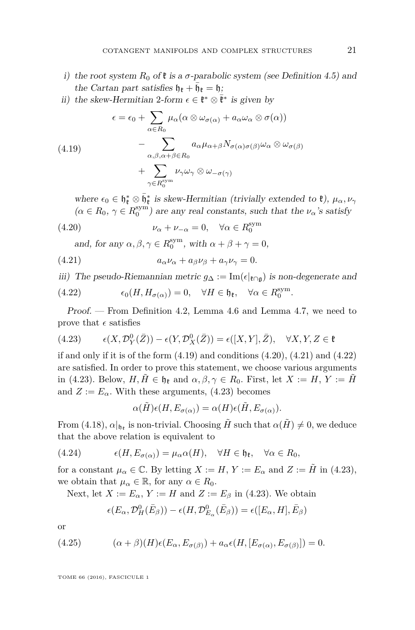- i) the root system  $R_0$  of  $\ell$  is a  $\sigma$ -parabolic system (see Definition [4.5\)](#page-18-1) and the Cartan part satisfies  $\mathfrak{h}_{\mathfrak{k}} + \bar{\mathfrak{h}}_{\mathfrak{k}} = \mathfrak{h}$ ;
- ii) the skew-Hermitian 2-form  $\epsilon \in \mathfrak{k}^* \otimes \bar{\mathfrak{k}}^*$  is given by

<span id="page-21-2"></span>(4.19)  
\n
$$
\epsilon = \epsilon_0 + \sum_{\alpha \in R_0} \mu_\alpha (\alpha \otimes \omega_{\sigma(\alpha)} + a_\alpha \omega_\alpha \otimes \sigma(\alpha))
$$
\n
$$
- \sum_{\alpha, \beta, \alpha + \beta \in R_0} a_\alpha \mu_{\alpha + \beta} N_{\sigma(\alpha)\sigma(\beta)} \omega_\alpha \otimes \omega_{\sigma(\beta)}
$$
\n
$$
+ \sum_{\gamma \in R_0^{\text{sym}}} \nu_\gamma \omega_\gamma \otimes \omega_{-\sigma(\gamma)}
$$

where  $\epsilon_0 \in \mathfrak{h}_{\mathfrak{k}}^* \otimes \bar{\mathfrak{h}}_{\mathfrak{k}}^*$  is skew-Hermitian (trivially extended to  $\mathfrak{k}$ ),  $\mu_\alpha, \nu_\gamma$  $(\alpha \in R_0, \gamma \in R_0^{\text{sym}})$  are any real constants, such that the  $\nu_\alpha$ 's satisfy

(4.20) 
$$
\nu_{\alpha} + \nu_{-\alpha} = 0, \quad \forall \alpha \in R_0^{\text{sym}}
$$

<span id="page-21-1"></span><span id="page-21-0"></span>and, for any  $\alpha, \beta, \gamma \in R_0^{\text{sym}}$ , with  $\alpha + \beta + \gamma = 0$ ,

(4.21) 
$$
a_{\alpha}\nu_{\alpha} + a_{\beta}\nu_{\beta} + a_{\gamma}\nu_{\gamma} = 0.
$$

iii) The pseudo-Riemannian metric  $g_{\Delta} := \text{Im}(\epsilon|_{\mathfrak{k} \cap \mathfrak{g}})$  is non-degenerate and

<span id="page-21-3"></span>(4.22) 
$$
\epsilon_0(H, H_{\sigma(\alpha)}) = 0, \quad \forall H \in \mathfrak{h}_{\mathfrak{k}}, \quad \forall \alpha \in R_0^{\text{sym}}.
$$

Proof. — From Definition [4.2,](#page-16-1) Lemma [4.6](#page-18-3) and Lemma [4.7,](#page-18-0) we need to prove that  $\epsilon$  satisfies

<span id="page-21-4"></span>(4.23) 
$$
\epsilon(X, \mathcal{D}_Y^0(\bar{Z})) - \epsilon(Y, \mathcal{D}_X^0(\bar{Z})) = \epsilon([X, Y], \bar{Z}), \quad \forall X, Y, Z \in \mathfrak{k}
$$

if and only if it is of the form  $(4.19)$  and conditions  $(4.20)$ ,  $(4.21)$  and  $(4.22)$ are satisfied. In order to prove this statement, we choose various arguments in [\(4.23\)](#page-21-4). Below,  $H, \tilde{H} \in \mathfrak{h}_{\ell}$  and  $\alpha, \beta, \gamma \in R_0$ . First, let  $X := H, Y := \tilde{H}$ and  $Z := E_\alpha$ . With these arguments, [\(4.23\)](#page-21-4) becomes

<span id="page-21-5"></span>
$$
\alpha(\tilde{H})\epsilon(H, E_{\sigma(\alpha)}) = \alpha(H)\epsilon(\tilde{H}, E_{\sigma(\alpha)}).
$$

From [\(4.18\)](#page-20-4),  $\alpha|_{\mathfrak{h}_k}$  is non-trivial. Choosing  $\tilde{H}$  such that  $\alpha(\tilde{H}) \neq 0$ , we deduce that the above relation is equivalent to

(4.24) 
$$
\epsilon(H, E_{\sigma(\alpha)}) = \mu_{\alpha}\alpha(H), \quad \forall H \in \mathfrak{h}_{\mathfrak{k}}, \quad \forall \alpha \in R_0,
$$

for a constant  $\mu_{\alpha} \in \mathbb{C}$ . By letting  $X := H$ ,  $Y := E_{\alpha}$  and  $Z := \tilde{H}$  in [\(4.23\)](#page-21-4), we obtain that  $\mu_{\alpha} \in \mathbb{R}$ , for any  $\alpha \in R_0$ .

Next, let  $X := E_\alpha$ ,  $Y := H$  and  $Z := E_\beta$  in [\(4.23\)](#page-21-4). We obtain

<span id="page-21-6"></span>
$$
\epsilon(E_{\alpha}, \mathcal{D}_{H}^{0}(\bar{E}_{\beta})) - \epsilon(H, \mathcal{D}_{E_{\alpha}}^{0}(\bar{E}_{\beta})) = \epsilon([E_{\alpha}, H], \bar{E}_{\beta})
$$

or

(4.25) 
$$
(\alpha + \beta)(H)\epsilon(E_{\alpha}, E_{\sigma(\beta)}) + a_{\alpha}\epsilon(H, [E_{\sigma(\alpha)}, E_{\sigma(\beta)}]) = 0.
$$

TOME 66 (2016), FASCICULE 1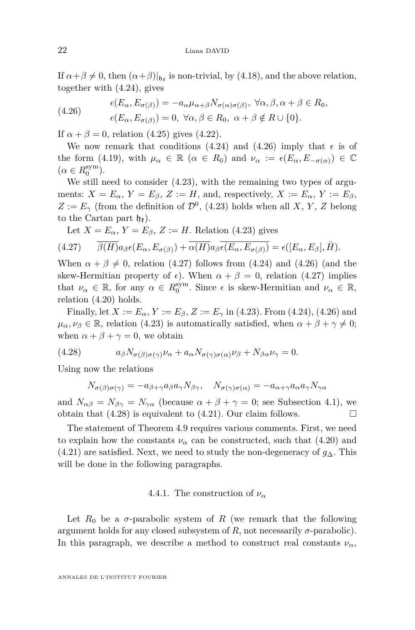If  $\alpha + \beta \neq 0$ , then  $(\alpha + \beta)|_{\mathfrak{h}_k}$  is non-trivial, by [\(4.18\)](#page-20-4), and the above relation, together with [\(4.24\)](#page-21-5), gives

<span id="page-22-0"></span>(4.26) 
$$
\epsilon(E_{\alpha}, E_{\sigma(\beta)}) = -a_{\alpha}\mu_{\alpha+\beta}N_{\sigma(\alpha)\sigma(\beta)}, \ \forall \alpha, \beta, \alpha + \beta \in R_0, \n\epsilon(E_{\alpha}, E_{\sigma(\beta)}) = 0, \ \forall \alpha, \beta \in R_0, \ \alpha + \beta \notin R \cup \{0\}.
$$

If  $\alpha + \beta = 0$ , relation [\(4.25\)](#page-21-6) gives [\(4.22\)](#page-21-3).

We now remark that conditions [\(4.24\)](#page-21-5) and [\(4.26\)](#page-22-0) imply that  $\epsilon$  is of the form [\(4.19\)](#page-21-2), with  $\mu_{\alpha} \in \mathbb{R}$  ( $\alpha \in R_0$ ) and  $\nu_{\alpha} := \epsilon(E_{\alpha}, E_{-\sigma(\alpha)}) \in \mathbb{C}$  $(\alpha \in R_0^{\rm sym}).$ 

We still need to consider [\(4.23\)](#page-21-4), with the remaining two types of arguments:  $X = E_\alpha$ ,  $Y = E_\beta$ ,  $Z := H$ , and, respectively,  $X := E_\alpha$ ,  $Y := E_\beta$ ,  $Z := E_\gamma$  (from the definition of  $\mathcal{D}^0$ , [\(4.23\)](#page-21-4) holds when all *X*, *Y*, *Z* belong to the Cartan part  $h_{\mathbf{F}}$ ).

<span id="page-22-1"></span>Let  $X = E_\alpha$ ,  $Y = E_\beta$ ,  $Z := H$ . Relation [\(4.23\)](#page-21-4) gives

(4.27) 
$$
\overline{\beta(H)}a_{\beta}\epsilon(E_{\alpha},E_{\sigma(\beta)})+\overline{\alpha(H)}a_{\beta}\overline{\epsilon(E_{\alpha},E_{\sigma(\beta)})}=\epsilon([E_{\alpha},E_{\beta}],\overline{H}).
$$

When  $\alpha + \beta \neq 0$ , relation [\(4.27\)](#page-22-1) follows from [\(4.24\)](#page-21-5) and [\(4.26\)](#page-22-0) (and the skew-Hermitian property of  $\epsilon$ ). When  $\alpha + \beta = 0$ , relation [\(4.27\)](#page-22-1) implies that  $\nu_{\alpha} \in \mathbb{R}$ , for any  $\alpha \in R_0^{\text{sym}}$ . Since  $\epsilon$  is skew-Hermitian and  $\nu_{\alpha} \in \mathbb{R}$ , relation [\(4.20\)](#page-21-0) holds.

Finally, let  $X := E_{\alpha}$ ,  $Y := E_{\beta}$ ,  $Z := E_{\gamma}$  in [\(4.23\)](#page-21-4). From [\(4.24\)](#page-21-5), [\(4.26\)](#page-22-0) and  $\mu_{\alpha}, \nu_{\beta} \in \mathbb{R}$ , relation [\(4.23\)](#page-21-4) is automatically satisfied, when  $\alpha + \beta + \gamma \neq 0$ ; when  $\alpha + \beta + \gamma = 0$ , we obtain

(4.28) 
$$
a_{\beta}N_{\sigma(\beta)\sigma(\gamma)}\nu_{\alpha} + a_{\alpha}N_{\sigma(\gamma)\sigma(\alpha)}\nu_{\beta} + N_{\beta\alpha}\nu_{\gamma} = 0.
$$

Using now the relations

<span id="page-22-2"></span>
$$
N_{\sigma(\beta)\sigma(\gamma)} = -a_{\beta+\gamma}a_{\beta}a_{\gamma}N_{\beta\gamma}, \quad N_{\sigma(\gamma)\sigma(\alpha)} = -a_{\alpha+\gamma}a_{\alpha}a_{\gamma}N_{\gamma\alpha}
$$

and  $N_{\alpha\beta} = N_{\beta\gamma} = N_{\gamma\alpha}$  (because  $\alpha + \beta + \gamma = 0$ ; see Subsection [4.1\)](#page-14-2), we obtain that  $(4.28)$  is equivalent to  $(4.21)$ . Our claim follows.

The statement of Theorem [4.9](#page-20-1) requires various comments. First, we need to explain how the constants  $\nu_{\alpha}$  can be constructed, such that [\(4.20\)](#page-21-0) and [\(4.21\)](#page-21-1) are satisfied. Next, we need to study the non-degeneracy of *g*∆*.* This will be done in the following paragraphs.

#### 4.4.1. The construction of  $\nu_{\alpha}$

Let  $R_0$  be a  $\sigma$ -parabolic system of  $R$  (we remark that the following argument holds for any closed subsystem of *R*, not necessarily *σ*-parabolic). In this paragraph, we describe a method to construct real constants  $\nu_{\alpha}$ ,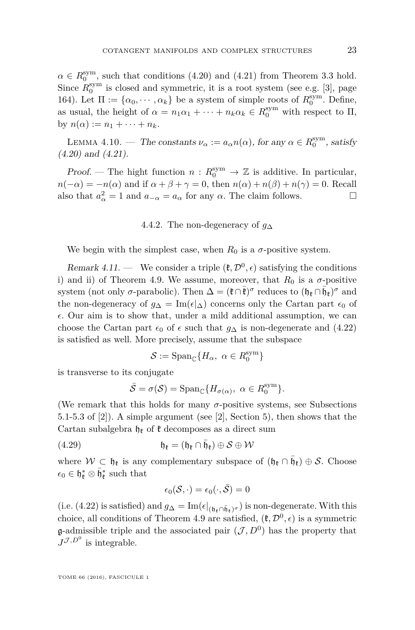$\alpha \in R_0^{\text{sym}}$ , such that conditions [\(4.20\)](#page-21-0) and [\(4.21\)](#page-21-1) from Theorem [3.3](#page-12-0) hold. Since  $R_0^{\text{sym}}$  is closed and symmetric, it is a root system (see e.g. [\[3\]](#page-27-2), page 164). Let  $\Pi := {\alpha_0, \dots, \alpha_k}$  be a system of simple roots of  $R_0^{\text{sym}}$ . Define, as usual, the height of  $\alpha = n_1 \alpha_1 + \cdots + n_k \alpha_k \in R_0^{\text{sym}}$  with respect to  $\Pi$ ,  $\text{by } n(\alpha) := n_1 + \cdots + n_k.$ 

<span id="page-23-0"></span>LEMMA 4.10. — The constants  $\nu_{\alpha} := a_{\alpha} n(\alpha)$ , for any  $\alpha \in R_0^{\text{sym}}$ , satisfy [\(4.20\)](#page-21-0) and [\(4.21\)](#page-21-1).

Proof. — The hight function  $n: R_0^{\text{sym}} \to \mathbb{Z}$  is additive. In particular,  $n(-\alpha) = -n(\alpha)$  and if  $\alpha + \beta + \gamma = 0$ , then  $n(\alpha) + n(\beta) + n(\gamma) = 0$ . Recall also that  $a_{\alpha}^2 = 1$  and  $a_{-\alpha} = a_{\alpha}$  for any  $\alpha$ . The claim follows.

#### 4.4.2. The non-degeneracy of *g*<sup>∆</sup>

We begin with the simplest case, when  $R_0$  is a  $\sigma$ -positive system.

<span id="page-23-1"></span>Remark 4.11. — We consider a triple  $(\mathfrak{k}, \mathcal{D}^0, \epsilon)$  satisfying the conditions i) and ii) of Theorem [4.9.](#page-20-1) We assume, moreover, that  $R_0$  is a  $\sigma$ -positive system (not only  $\sigma$ -parabolic). Then  $\Delta = (\mathfrak{k} \cap \bar{\mathfrak{k}})^\sigma$  reduces to  $(\mathfrak{h}_{\mathfrak{k}} \cap \bar{\mathfrak{h}}_{\mathfrak{k}})^\sigma$  and the non-degeneracy of  $g_{\Delta} = \text{Im}(\epsilon|\Delta)$  concerns only the Cartan part  $\epsilon_0$  of  $\epsilon$ . Our aim is to show that, under a mild additional assumption, we can choose the Cartan part  $\epsilon_0$  of  $\epsilon$  such that  $q_\Delta$  is non-degenerate and [\(4.22\)](#page-21-3) is satisfied as well. More precisely, assume that the subspace

$$
\mathcal{S}:=\mathrm{Span}_{\mathbb{C}}\{H_\alpha,\ \alpha\in R_0^{\mathrm{sym}}\}
$$

is transverse to its conjugate

$$
\bar{\mathcal{S}} = \sigma(\mathcal{S}) = \text{Span}_{\mathbb{C}} \{ H_{\sigma(\alpha)}, \ \alpha \in R_0^{\text{sym}} \}.
$$

(We remark that this holds for many  $\sigma$ -positive systems, see Subsections 5.1-5.3 of [\[2\]](#page-27-1)). A simple argument (see [\[2\]](#page-27-1), Section 5), then shows that the Cartan subalgebra  $\mathfrak{h}_{\ell}$  of  $\mathfrak{k}$  decomposes as a direct sum

(4.29) 
$$
\mathfrak{h}_{\mathfrak{k}} = (\mathfrak{h}_{\mathfrak{k}} \cap \bar{\mathfrak{h}}_{\mathfrak{k}}) \oplus \mathcal{S} \oplus \mathcal{W}
$$

where  $W \subset \mathfrak{h}_{\mathfrak{k}}$  is any complementary subspace of  $(\mathfrak{h}_{\mathfrak{k}} \cap \bar{\mathfrak{h}}_{\mathfrak{k}}) \oplus \mathcal{S}$ . Choose  $\epsilon_0 \in \mathfrak{h}_{\mathfrak{k}}^* \otimes \bar{\mathfrak{h}}_{\mathfrak{k}}^*$  such that

$$
\epsilon_0(\mathcal{S},\cdot)=\epsilon_0(\cdot,\bar{\mathcal{S}})=0
$$

(i.e. [\(4.22\)](#page-21-3) is satisfied) and  $g_{\Delta} = \text{Im}(\epsilon|_{(\mathfrak{h}_{\mathfrak{k}} \cap \bar{\mathfrak{h}}_{\mathfrak{k}})^{\sigma}})$  is non-degenerate. With this choice, all conditions of Theorem [4.9](#page-20-1) are satisfied,  $(\mathfrak{k}, \mathcal{D}^0, \epsilon)$  is a symmetric g-admissible triple and the associated pair  $(\mathcal{J}, D^0)$  has the property that  $J^{\mathcal{J},D^0}$  is integrable.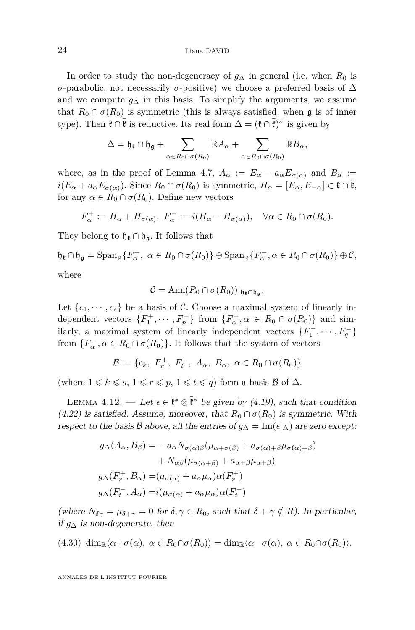In order to study the non-degeneracy of  $g_{\Delta}$  in general (i.e. when  $R_0$  is *σ*-parabolic, not necessarily *σ*-positive) we choose a preferred basis of  $\Delta$ and we compute  $g_{\Delta}$  in this basis. To simplify the arguments, we assume that  $R_0 \cap \sigma(R_0)$  is symmetric (this is always satisfied, when g is of inner type). Then  $\mathfrak{k} \cap \bar{\mathfrak{k}}$  is reductive. Its real form  $\Delta = (\mathfrak{k} \cap \bar{\mathfrak{k}})^\sigma$  is given by

$$
\Delta = \mathfrak{h}_{\mathfrak{k}} \cap \mathfrak{h}_{\mathfrak{g}} + \sum_{\alpha \in R_0 \cap \sigma(R_0)} \mathbb{R} A_{\alpha} + \sum_{\alpha \in R_0 \cap \sigma(R_0)} \mathbb{R} B_{\alpha},
$$

where, as in the proof of Lemma [4.7,](#page-18-0)  $A_{\alpha} := E_{\alpha} - a_{\alpha} E_{\sigma(\alpha)}$  and  $B_{\alpha} :=$  $i(E_\alpha + a_\alpha E_{\sigma(\alpha)})$ . Since  $R_0 \cap \sigma(R_0)$  is symmetric,  $H_\alpha = [E_\alpha, E_{-\alpha}] \in \mathfrak{k} \cap \mathfrak{k}$ , for any  $\alpha \in R_0 \cap \sigma(R_0)$ . Define new vectors

$$
F_{\alpha}^+ := H_{\alpha} + H_{\sigma(\alpha)}, \ F_{\alpha}^- := i(H_{\alpha} - H_{\sigma(\alpha)}), \quad \forall \alpha \in R_0 \cap \sigma(R_0).
$$

They belong to  $\mathfrak{h}_{\ell} \cap \mathfrak{h}_{\mathfrak{a}}$ . It follows that

$$
\mathfrak{h}_{\mathfrak{k}} \cap \mathfrak{h}_{\mathfrak{g}} = \mathrm{Span}_{\mathbb{R}} \{ F_{\alpha}^+, \ \alpha \in R_0 \cap \sigma(R_0) \} \oplus \mathrm{Span}_{\mathbb{R}} \{ F_{\alpha}^-, \alpha \in R_0 \cap \sigma(R_0) \} \oplus \mathcal{C},
$$
  
where

where

$$
C=\text{Ann}(R_0\cap \sigma(R_0))|_{\mathfrak{h}_\mathfrak{k}\cap\mathfrak{h}_\mathfrak{g}}.
$$

Let  $\{c_1, \dots, c_s\}$  be a basis of C. Choose a maximal system of linearly independent vectors  $\{F_1^+, \dots, F_p^+\}$  from  $\{F_\alpha^+, \alpha \in R_0 \cap \sigma(R_0)\}$  and similarly, a maximal system of linearly independent vectors  $\{F_1^-, \dots, F_q^-\}$ from  $\{F_{\alpha}^-,\alpha \in R_0 \cap \sigma(R_0)\}$ . It follows that the system of vectors

$$
\mathcal{B} := \{c_k, F_r^+, F_t^-, A_\alpha, B_\alpha, \alpha \in R_0 \cap \sigma(R_0)\}
$$

(where  $1 \leq k \leq s$ ,  $1 \leq r \leq p$ ,  $1 \leq t \leq q$ ) form a basis B of  $\Delta$ *.* 

<span id="page-24-1"></span>LEMMA 4.12. — Let  $\epsilon \in \mathfrak{k}^* \otimes \bar{\mathfrak{k}}^*$  be given by [\(4.19\)](#page-21-2), such that condition  $(4.22)$  is satisfied. Assume, moreover, that  $R_0 \cap \sigma(R_0)$  is symmetric. With respect to the basis B above, all the entries of  $g_{\Delta} = \text{Im}(\epsilon |_{\Delta})$  are zero except:

$$
g_{\Delta}(A_{\alpha}, B_{\beta}) = - a_{\alpha} N_{\sigma(\alpha)\beta} (\mu_{\alpha+\sigma(\beta)} + a_{\sigma(\alpha)+\beta} \mu_{\sigma(\alpha)+\beta}) + N_{\alpha\beta} (\mu_{\sigma(\alpha+\beta)} + a_{\alpha+\beta} \mu_{\alpha+\beta}) g_{\Delta}(F_r^+, B_{\alpha}) = (\mu_{\sigma(\alpha)} + a_{\alpha} \mu_{\alpha}) \alpha(F_r^+) g_{\Delta}(F_t^-, A_{\alpha}) = i(\mu_{\sigma(\alpha)} + a_{\alpha} \mu_{\alpha}) \alpha(F_t^-)
$$

(where  $N_{\delta\gamma} = \mu_{\delta+\gamma} = 0$  for  $\delta, \gamma \in R_0$ , such that  $\delta + \gamma \notin R$ ). In particular, if  $g_∆$  is non-degenerate, then

<span id="page-24-0"></span> $(\text{4.30})$  dim<sub>R</sub> $\langle \alpha + \sigma(\alpha), \alpha \in R_0 \cap \sigma(R_0) \rangle = \dim_{\mathbb{R}} \langle \alpha - \sigma(\alpha), \alpha \in R_0 \cap \sigma(R_0) \rangle.$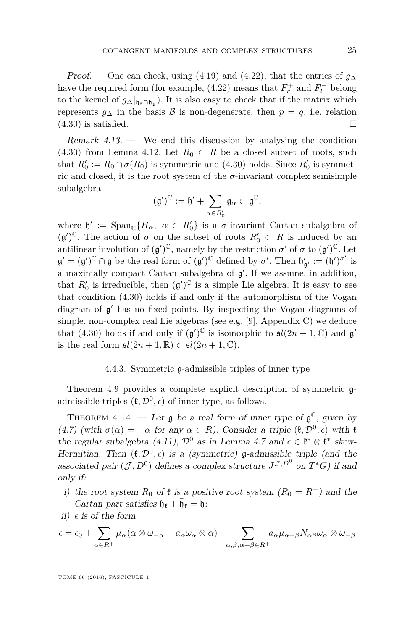Proof. — One can check, using [\(4.19\)](#page-21-2) and [\(4.22\)](#page-21-3), that the entries of *g*<sup>∆</sup> have the required form (for example,  $(4.22)$  means that  $F_r^+$  and  $F_t^-$  belong to the kernel of  $g_{\Delta}|_{\mathfrak{h}_{\mathfrak{k}} \cap \mathfrak{h}_{\mathfrak{g}}}\right)$ . It is also easy to check that if the matrix which represents  $g_{\Delta}$  in the basis B is non-degenerate, then  $p = q$ , i.e. relation  $(4.30)$  is satisfied.

Remark  $4.13.$  — We end this discussion by analysing the condition [\(4.30\)](#page-24-0) from Lemma [4.12.](#page-24-1) Let  $R_0 \subset R$  be a closed subset of roots, such that  $R'_0 := R_0 \cap \sigma(R_0)$  is symmetric and [\(4.30\)](#page-24-0) holds. Since  $R'_0$  is symmetric and closed, it is the root system of the  $\sigma$ -invariant complex semisimple subalgebra

$$
(\mathfrak{g}')^\mathbb{C}:=\mathfrak{h}'+\sum_{\alpha\in R'_0}\mathfrak{g}_\alpha\subset\mathfrak{g}^\mathbb{C},
$$

where  $\mathfrak{h}' := \text{Span}_{\mathbb{C}}\{H_{\alpha}, \alpha \in R'_0\}$  is a *σ*-invariant Cartan subalgebra of  $(g')^{\mathbb{C}}$ . The action of  $\sigma$  on the subset of roots  $R'_0 \subset R$  is induced by an antilinear involution of  $(g')^{\mathbb{C}}$ , namely by the restriction  $\sigma'$  of  $\sigma$  to  $(g')^{\mathbb{C}}$ . Let  $\mathfrak{g}' = (\mathfrak{g}')^{\mathbb{C}} \cap \mathfrak{g}$  be the real form of  $(\mathfrak{g}')^{\mathbb{C}}$  defined by  $\sigma'$ . Then  $\mathfrak{h}'_{\mathfrak{g}'} := (\mathfrak{h}')^{\sigma'}$  is a maximally compact Cartan subalgebra of  $\mathfrak{g}'$ . If we assume, in addition, that  $R'_0$  is irreducible, then  $(g')^{\mathbb{C}}$  is a simple Lie algebra. It is easy to see that condition [\(4.30\)](#page-24-0) holds if and only if the automorphism of the Vogan diagram of  $g'$  has no fixed points. By inspecting the Vogan diagrams of simple, non-complex real Lie algebras (see e.g. [\[9\]](#page-28-2), Appendix C) we deduce that [\(4.30\)](#page-24-0) holds if and only if  $(g')^{\mathbb{C}}$  is isomorphic to  $\mathfrak{sl}(2n+1,\mathbb{C})$  and  $g'$ is the real form  $\mathfrak{sl}(2n+1,\mathbb{R}) \subset \mathfrak{sl}(2n+1,\mathbb{C}).$ 

#### 4.4.3. Symmetric g-admissible triples of inner type

Theorem [4.9](#page-20-1) provides a complete explicit description of symmetric gadmissible triples  $(\mathfrak{k}, \mathcal{D}^0, \epsilon)$  of inner type, as follows.

<span id="page-25-0"></span>THEOREM 4.14. — Let  $\mathfrak g$  be a real form of inner type of  $\mathfrak g^{\mathbb C}$ , given by [\(4.7\)](#page-15-0) (with  $\sigma(\alpha) = -\alpha$  for any  $\alpha \in R$ ). Consider a triple  $(\mathfrak{k}, \mathcal{D}^0, \epsilon)$  with  $\mathfrak{k}$ the regular subalgebra [\(4.11\)](#page-17-0),  $\mathcal{D}^0$  as in Lemma [4.7](#page-18-0) and  $\epsilon \in \mathfrak{k}^* \otimes \overline{\mathfrak{k}}^*$  skew-Hermitian. Then  $(\mathfrak{k}, \mathcal{D}^0, \epsilon)$  is a (symmetric) **g**-admissible triple (and the associated pair  $(\mathcal{J}, D^0)$  defines a complex structure  $J^{\mathcal{J}, D^0}$  on  $T^*G$ ) if and only if:

- i) the root system  $R_0$  of  $\ell$  is a positive root system  $(R_0 = R^+)$  and the Cartan part satisfies  $\mathfrak{h}_{\mathfrak{k}} + \bar{\mathfrak{h}}_{\mathfrak{k}} = \mathfrak{h}$ ;
- ii)  $\epsilon$  is of the form

$$
\epsilon = \epsilon_0 + \sum_{\alpha \in R^+} \mu_\alpha (\alpha \otimes \omega_{-\alpha} - a_\alpha \omega_\alpha \otimes \alpha) + \sum_{\alpha, \beta, \alpha + \beta \in R^+} a_\alpha \mu_{\alpha + \beta} N_{\alpha \beta} \omega_\alpha \otimes \omega_{-\beta}
$$

TOME 66 (2016), FASCICULE 1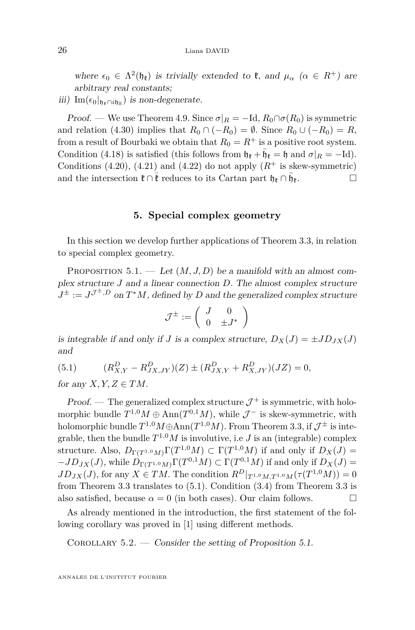where  $\epsilon_0 \in \Lambda^2(\mathfrak{h}_\mathfrak{k})$  is trivially extended to  $\mathfrak{k}$ , and  $\mu_\alpha$  ( $\alpha \in R^+$ ) are arbitrary real constants;

iii) Im( $\epsilon_0|_{\mathfrak{h}_\mathfrak{k} \cap i\mathfrak{h}_\mathbb{R}}$ ) is non-degenerate.

Proof. — We use Theorem [4.9.](#page-20-1) Since  $\sigma|_R = -\text{Id}, R_0 \cap \sigma(R_0)$  is symmetric and relation [\(4.30\)](#page-24-0) implies that  $R_0 \cap (-R_0) = \emptyset$ . Since  $R_0 \cup (-R_0) = R$ , from a result of Bourbaki we obtain that  $R_0 = R^+$  is a positive root system. Condition [\(4.18\)](#page-20-4) is satisfied (this follows from  $\mathfrak{h}_{\mathfrak{k}} + \bar{\mathfrak{h}}_{\mathfrak{k}} = \mathfrak{h}$  and  $\sigma|_R = -\text{Id}$ ). Conditions [\(4.20\)](#page-21-0), [\(4.21\)](#page-21-1) and [\(4.22\)](#page-21-3) do not apply  $(R^+$  is skew-symmetric) and the intersection  $\mathfrak{k} \cap \overline{\mathfrak{k}}$  reduces to its Cartan part  $\mathfrak{h}_{\mathfrak{k}} \cap \overline{\mathfrak{h}}_{\mathfrak{k}}$ .

#### **5. Special complex geometry**

<span id="page-26-0"></span>In this section we develop further applications of Theorem [3.3,](#page-12-0) in relation to special complex geometry.

<span id="page-26-2"></span>PROPOSITION 5.1. — Let  $(M, J, D)$  be a manifold with an almost complex structure *J* and a linear connection *D*. The almost complex structure  $J^{\pm} := J^{\mathcal{J}^{\pm},D}$  on  $T^*M$ , defined by *D* and the generalized complex structure

$$
\mathcal{J}^{\pm} := \left( \begin{array}{cc} J & 0 \\ 0 & \pm J^* \end{array} \right)
$$

is integrable if and only if *J* is a complex structure,  $D_X(J) = \pm JD_{JX}(J)$ and

<span id="page-26-1"></span>(5.1) 
$$
(R_{X,Y}^D - R_{JX,JY}^D)(Z) \pm (R_{JX,Y}^D + R_{X,JY}^D)(JZ) = 0,
$$

for any  $X, Y, Z \in TM$ .

Proof. — The generalized complex structure  $\mathcal{J}^+$  is symmetric, with holomorphic bundle  $T^{1,0}M \oplus \text{Ann}(T^{0,1}M)$ , while  $\mathcal{J}^-$  is skew-symmetric, with holomorphic bundle  $T^{1,0}M \oplus \text{Ann}(T^{1,0}M)$ . From Theorem [3.3,](#page-12-0) if  $\mathcal{J}^\pm$  is integrable, then the bundle  $T^{1,0}M$  is involutive, i.e *J* is an (integrable) complex structure. Also,  $D_{\Gamma(T^{1,0}M)}\Gamma(T^{1,0}M) \subset \Gamma(T^{1,0}M)$  if and only if  $D_X(J)$  =  $-JD_{JX}(J)$ , while  $D_{\Gamma(T^{1,0}M)}\Gamma(T^{0,1}M) \subset \Gamma(T^{0,1}M)$  if and only if  $D_X(J)$  =  $JD_{JX}(J)$ , for any  $X \in TM$ . The condition  $R^D|_{T^{1,0}M,T^{1,0}M}(\tau(T^{1,0}M)) = 0$ from Theorem [3.3](#page-12-0) translates to [\(5.1\)](#page-26-1). Condition [\(3.4\)](#page-12-3) from Theorem [3.3](#page-12-0) is also satisfied, because  $\alpha = 0$  (in both cases). Our claim follows.

As already mentioned in the introduction, the first statement of the following corollary was proved in [\[1\]](#page-27-0) using different methods.

COROLLARY  $5.2.$  — Consider the setting of Proposition [5.1.](#page-26-2)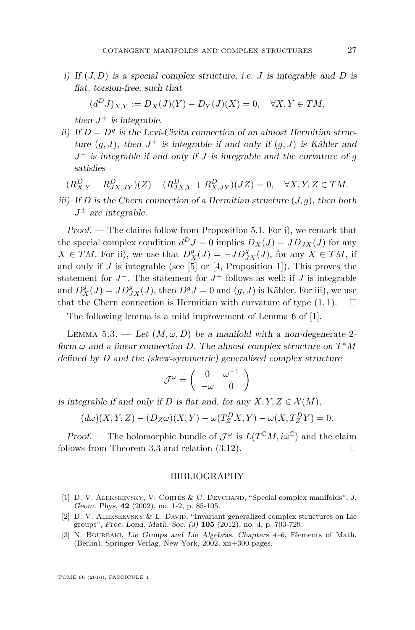i) If (*J, D*) is a special complex structure, i.e. *J* is integrable and *D* is flat, torsion-free, such that

$$
(d^D J)_{X,Y} := D_X(J)(Y) - D_Y(J)(X) = 0, \quad \forall X, Y \in TM,
$$

then  $J^+$  is integrable.

ii) If  $D = D<sup>g</sup>$  is the Levi-Civita connection of an almost Hermitian structure  $(g, J)$ , then  $J^+$  is integrable if and only if  $(g, J)$  is Kähler and *J*<sup>−</sup> is integrable if and only if *J* is integrable and the curvature of *g* satisfies

$$
(R_{X,Y}^D - R_{JX,JY}^D)(Z) - (R_{JX,Y}^D + R_{X,JY}^D)(JZ) = 0, \quad \forall X, Y, Z \in TM.
$$

iii) If *D* is the Chern connection of a Hermitian structure  $(J, q)$ , then both  $J^{\pm}$  are integrable.

Proof. — The claims follow from Proposition [5.1.](#page-26-2) For i), we remark that the special complex condition  $d^D J = 0$  implies  $D_X(J) = JD_{JX}(J)$  for any  $X \in TM$ . For ii), we use that  $D_X^g(J) = -JD_{JX}^g(J)$ , for any  $X \in TM$ , if and only if  $J$  is integrable (see [\[5\]](#page-28-6) or [\[4,](#page-28-7) Proposition 1]). This proves the statement for  $J^-$ . The statement for  $J^+$  follows as well: if  $J$  is integrable and  $D_X^g(J) = JD_{JX}^g(J)$ , then  $D^g J = 0$  and  $(g, J)$  is Kähler. For iii), we use that the Chern connection is Hermitian with curvature of type  $(1, 1)$ .  $\Box$ 

The following lemma is a mild improvement of Lemma 6 of [\[1\]](#page-27-0).

LEMMA 5.3. — Let  $(M, \omega, D)$  be a manifold with a non-degenerate 2form *ω* and a linear connection *D*. The almost complex structure on *T* <sup>∗</sup>*M* defined by *D* and the (skew-symmetric) generalized complex structure

$$
\mathcal{J}^{\omega} = \left( \begin{array}{cc} 0 & \omega^{-1} \\ -\omega & 0 \end{array} \right)
$$

is integrable if and only if *D* is flat and, for any  $X, Y, Z \in \mathcal{X}(M)$ ,

$$
(d\omega)(X, Y, Z) - (D_Z \omega)(X, Y) - \omega(T_Z^D X, Y) - \omega(X, T_Z^D Y) = 0.
$$

Proof. — The holomorphic bundle of  $\mathcal{J}^{\omega}$  is  $L(T^{C}M, i\omega^{C})$  and the claim follows from Theorem [3.3](#page-12-0) and relation  $(3.12)$ .

#### BIBLIOGRAPHY

- <span id="page-27-0"></span>[1] D. V. Alekseevsky, V. Cortés & C. Devchand, "Special complex manifolds", J. Geom. Phys. **42** (2002), no. 1-2, p. 85-105.
- <span id="page-27-1"></span>[2] D. V. ALEKSEEVSKY & L. DAVID, "Invariant generalized complex structures on Lie groups", Proc. Lond. Math. Soc. (3) **105** (2012), no. 4, p. 703-729.
- <span id="page-27-2"></span>[3] N. BOURBAKI, Lie Groups and Lie Algebras. Chapters 4–6, Elements of Math. (Berlin), Springer-Verlag, New York, 2002, xii+300 pages.